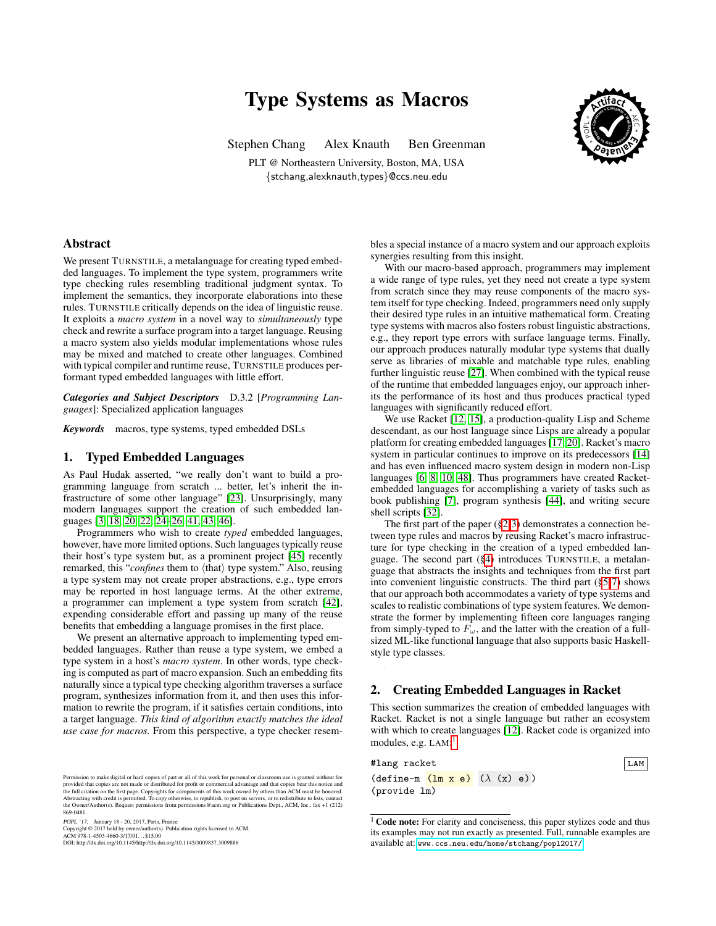# Type Systems as Macros

Stephen Chang Alex Knauth Ben Greenman



PLT @ Northeastern University, Boston, MA, USA {stchang,alexknauth,types}@ccs.neu.edu

## Abstract

We present TURNSTILE, a metalanguage for creating typed embedded languages. To implement the type system, programmers write type checking rules resembling traditional judgment syntax. To implement the semantics, they incorporate elaborations into these rules. TURNSTILE critically depends on the idea of linguistic reuse. It exploits a *macro system* in a novel way to *simultaneously* type check and rewrite a surface program into a target language. Reusing a macro system also yields modular implementations whose rules may be mixed and matched to create other languages. Combined with typical compiler and runtime reuse, TURNSTILE produces performant typed embedded languages with little effort.

*Categories and Subject Descriptors* D.3.2 [*Programming Languages*]: Specialized application languages

*Keywords* macros, type systems, typed embedded DSLs

## 1. Typed Embedded Languages

As Paul Hudak asserted, "we really don't want to build a programming language from scratch ... better, let's inherit the infrastructure of some other language" [\[23\]](#page-11-0). Unsurprisingly, many modern languages support the creation of such embedded languages [\[3,](#page-11-1) [18,](#page-11-2) [20,](#page-11-3) [22,](#page-11-4) [24](#page-11-5)[–26,](#page-11-6) [41,](#page-11-7) [43,](#page-11-8) [46\]](#page-11-9).

Programmers who wish to create *typed* embedded languages, however, have more limited options. Such languages typically reuse their host's type system but, as a prominent project [\[45\]](#page-11-10) recently remarked, this "*confines* them to  $\langle \text{that} \rangle$  type system." Also, reusing a type system may not create proper abstractions, e.g., type errors may be reported in host language terms. At the other extreme, a programmer can implement a type system from scratch [\[42\]](#page-11-11), expending considerable effort and passing up many of the reuse benefits that embedding a language promises in the first place.

We present an alternative approach to implementing typed embedded languages. Rather than reuse a type system, we embed a type system in a host's *macro system*. In other words, type checking is computed as part of macro expansion. Such an embedding fits naturally since a typical type checking algorithm traverses a surface program, synthesizes information from it, and then uses this information to rewrite the program, if it satisfies certain conditions, into a target language. *This kind of algorithm exactly matches the ideal use case for macros.* From this perspective, a type checker resem-

POPL '17, January 18 - 20, 2017, Paris, France

Copyright © 2017 held by owner/author(s). Publication rights licensed to ACM.<br>ACM 978-1-4503-4660-3/17/01. . S15.00<br>DOI: http://dx.doi.org/10.1145/http://dx.doi.org/10.1145/3009837.3009886

bles a special instance of a macro system and our approach exploits synergies resulting from this insight.

With our macro-based approach, programmers may implement a wide range of type rules, yet they need not create a type system from scratch since they may reuse components of the macro system itself for type checking. Indeed, programmers need only supply their desired type rules in an intuitive mathematical form. Creating type systems with macros also fosters robust linguistic abstractions, e.g., they report type errors with surface language terms. Finally, our approach produces naturally modular type systems that dually serve as libraries of mixable and matchable type rules, enabling further linguistic reuse [\[27\]](#page-11-12). When combined with the typical reuse of the runtime that embedded languages enjoy, our approach inherits the performance of its host and thus produces practical typed languages with significantly reduced effort.

We use Racket [\[12,](#page-11-13) [15\]](#page-11-14), a production-quality Lisp and Scheme descendant, as our host language since Lisps are already a popular platform for creating embedded languages [\[17,](#page-11-15) [20\]](#page-11-3). Racket's macro system in particular continues to improve on its predecessors [\[14\]](#page-11-16) and has even influenced macro system design in modern non-Lisp languages [\[6,](#page-11-17) [8,](#page-11-18) [10,](#page-11-19) [48\]](#page-11-20). Thus programmers have created Racketembedded languages for accomplishing a variety of tasks such as book publishing [\[7\]](#page-11-21), program synthesis [\[44\]](#page-11-22), and writing secure shell scripts [\[32\]](#page-11-23).

The first part of the paper ([§2-](#page-0-0)[3\)](#page-1-0) demonstrates a connection between type rules and macros by reusing Racket's macro infrastructure for type checking in the creation of a typed embedded language. The second part ([§4\)](#page-3-0) introduces TURNSTILE, a metalanguage that abstracts the insights and techniques from the first part into convenient linguistic constructs. The third part ([§5](#page-5-0)[-7\)](#page-10-0) shows that our approach both accommodates a variety of type systems and scales to realistic combinations of type system features. We demonstrate the former by implementing fifteen core languages ranging from simply-typed to  $F_{\omega}$ , and the latter with the creation of a fullsized ML-like functional language that also supports basic Haskellstyle type classes.

## <span id="page-0-0"></span>2. Creating Embedded Languages in Racket

This section summarizes the creation of embedded languages with Racket. Racket is not a single language but rather an ecosystem with which to create languages [\[12\]](#page-11-13). Racket code is organized into modules, e.g. LAM: [1](#page-0-1)

<span id="page-0-1"></span>

 $1$  Code note: For clarity and conciseness, this paper stylizes code and thus its examples may not run exactly as presented. Full, runnable examples are available at: <www.ccs.neu.edu/home/stchang/popl2017/>

sion to make digital or hard copies of part or all of this work for personal or classroom use is granted without fee provided that copies are not made or distributed for profit or commercial advantage and that copies bear this notice and the full citation on the first page. Copyrights for components of this work owned by others than ACM must be honored.<br>Abstracting with credit is permitted. To copy otherwise, to republish, to post on servers, or to redistr 869-0481.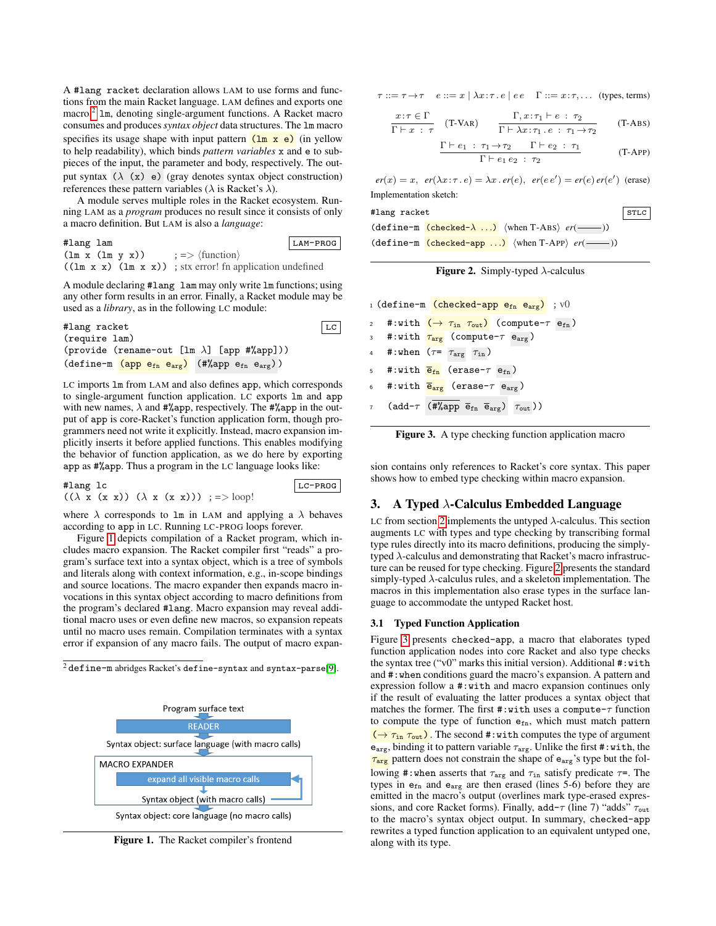A #lang racket declaration allows LAM to use forms and functions from the main Racket language. LAM defines and exports one macro,<sup>[2](#page-1-1)</sup> 1m, denoting single-argument functions. A Racket macro consumes and produces*syntax object* data structures. The lm macro specifies its usage shape with input pattern  $(\text{lm } x e)$  (in yellow to help readability), which binds *pattern variables* x and e to subpieces of the input, the parameter and body, respectively. The output syntax  $(\lambda(x) e)$  (gray denotes syntax object construction) references these pattern variables ( $\lambda$  is Racket's  $\lambda$ ).

A module serves multiple roles in the Racket ecosystem. Running LAM as a *program* produces no result since it consists of only a macro definition. But LAM is also a *language*:

#lang lam  $|$  LAM-PROG (lm x (lm y x))  $\qquad \qquad ; \Rightarrow \langle \text{function} \rangle$  $((\text{lm } x \ x) (\text{lm } x \ x))$ ; stx error! fn application undefined

A module declaring #lang lam may only write lm functions; using any other form results in an error. Finally, a Racket module may be used as a *library*, as in the following LC module:

#lang racket LC (require lam) (provide (rename-out [lm λ] [app #%app])) (define-m (app e<sub>fn</sub> e<sub>arg</sub>) (#%app e<sub>fn</sub> e<sub>arg</sub>))

LC imports lm from LAM and also defines app, which corresponds to single-argument function application. LC exports lm and app with new names,  $\lambda$  and #% app, respectively. The #% app in the output of app is core-Racket's function application form, though programmers need not write it explicitly. Instead, macro expansion implicitly inserts it before applied functions. This enables modifying the behavior of function application, as we do here by exporting app as #%app. Thus a program in the LC language looks like:

$$
\#lang \ lc
$$
  
(( $\lambda x (x x)$ ) ( $\lambda x (x x)$ )) ; => loop!

 $LC-PROG$ 

where  $\lambda$  corresponds to 1m in LAM and applying a  $\lambda$  behaves according to app in LC. Running LC-PROG loops forever.

Figure [1](#page-1-2) depicts compilation of a Racket program, which includes macro expansion. The Racket compiler first "reads" a program's surface text into a syntax object, which is a tree of symbols and literals along with context information, e.g., in-scope bindings and source locations. The macro expander then expands macro invocations in this syntax object according to macro definitions from the program's declared #lang. Macro expansion may reveal additional macro uses or even define new macros, so expansion repeats until no macro uses remain. Compilation terminates with a syntax error if expansion of any macro fails. The output of macro expan-

<span id="page-1-1"></span> $^2$  define-m abridges Racket's define-syntax and syntax-parse[\[9\]](#page-11-24).



<span id="page-1-2"></span>

 $\tau ::= \tau \rightarrow \tau \quad e ::= x \mid \lambda x : \tau \cdot e \mid e \cdot \Gamma ::= x : \tau, \dots$  (types, terms)

$$
\frac{x:\tau \in \Gamma}{\Gamma \vdash x : \tau} \quad (\text{T-VAR}) \qquad \frac{\Gamma, x:\tau_1 \vdash e : \tau_2}{\Gamma \vdash \lambda x:\tau_1 \cdot e : \tau_1 \to \tau_2} \qquad (\text{T-ABS})
$$

$$
\frac{\Gamma \vdash e_1 : \tau_1 \to \tau_2 \qquad \Gamma \vdash e_2 : \tau_1}{\Gamma \vdash e_1 \, e_2 : \tau_2} \tag{T-APP}
$$

 $er(x) = x$ ,  $er(\lambda x : \tau \cdot e) = \lambda x \cdot er(e)$ ,  $er(e e') = er(e) er(e')$  (erase) Implementation sketch:

#lang racket strlc state state state state state state state state state state state state state state state state state state state state state state state state state state state state state state state state state state

(define-m (checked-λ . . .) hwhen T-ABSi *er*( )) (define-m  $(checked-app...)$   $\langle$  when T-APP $\rangle$   $er($  —  $))$ 

<span id="page-1-3"></span>

|                | 1 (define-m (checked-app e <sub>fn</sub> e <sub>arg</sub> ) ; v0                             |
|----------------|----------------------------------------------------------------------------------------------|
| $\overline{a}$ | #:with $(\rightarrow \tau_{\text{in}} \tau_{\text{out}})$ (compute- $\tau$ e <sub>fn</sub> ) |
|                | $\frac{1}{3}$ #:with $\frac{}{7 \text{arg}}$ (compute- $\tau$ e <sub>arg</sub> )             |
|                | 4 #:when ( $\tau$ = $\tau_{\arg}$ $\tau_{\text{in}}$ )                                       |
| 5              | #:with $\overline{e_{fn}}$ (erase- $\tau$ e <sub>fn</sub> )                                  |
|                | 6 #:with $\overline{\mathbf{e}}_{\mathtt{arr}}$ (erase- $\tau$ $\mathbf{e}_{\mathtt{arr}}$ ) |
|                | (add- $\tau$ (#%app $\overline{e}_{\rm fn}$ $\overline{e}_{\rm arg}$ ) $\tau_{\rm out}$ ))   |

<span id="page-1-4"></span>

sion contains only references to Racket's core syntax. This paper shows how to embed type checking within macro expansion.

# <span id="page-1-0"></span>3. A Typed  $\lambda$ -Calculus Embedded Language

LC from section [2](#page-0-0) implements the untyped  $\lambda$ -calculus. This section augments LC with types and type checking by transcribing formal type rules directly into its macro definitions, producing the simplytyped  $\lambda$ -calculus and demonstrating that Racket's macro infrastructure can be reused for type checking. Figure [2](#page-1-3) presents the standard simply-typed  $\lambda$ -calculus rules, and a skeleton implementation. The macros in this implementation also erase types in the surface language to accommodate the untyped Racket host.

#### 3.1 Typed Function Application

Figure [3](#page-1-4) presents checked-app, a macro that elaborates typed function application nodes into core Racket and also type checks the syntax tree ("v0" marks this initial version). Additional #:with and #:when conditions guard the macro's expansion. A pattern and expression follow a #:with and macro expansion continues only if the result of evaluating the latter produces a syntax object that matches the former. The first  $\#$ : with uses a compute- $\tau$  function to compute the type of function  $e_{fn}$ , which must match pattern  $\left(\rightarrow \tau_{\text{in}} \tau_{\text{out}}\right)$ . The second #: with computes the type of argument  $e_{\text{arg}}$ , binding it to pattern variable  $\tau_{\text{arg}}$ . Unlike the first #: with, the  $\tau_{\text{arg}}$  pattern does not constrain the shape of  $e_{\text{arg}}$ 's type but the following #:when asserts that  $\tau_{\text{arg}}$  and  $\tau_{\text{in}}$  satisfy predicate  $\tau$ =. The types in  $e_{fn}$  and  $e_{arg}$  are then erased (lines 5-6) before they are emitted in the macro's output (overlines mark type-erased expressions, and core Racket forms). Finally,  $\text{add-}\tau$  (line 7) "adds"  $\tau_{\text{out}}$ to the macro's syntax object output. In summary, checked-app rewrites a typed function application to an equivalent untyped one, along with its type.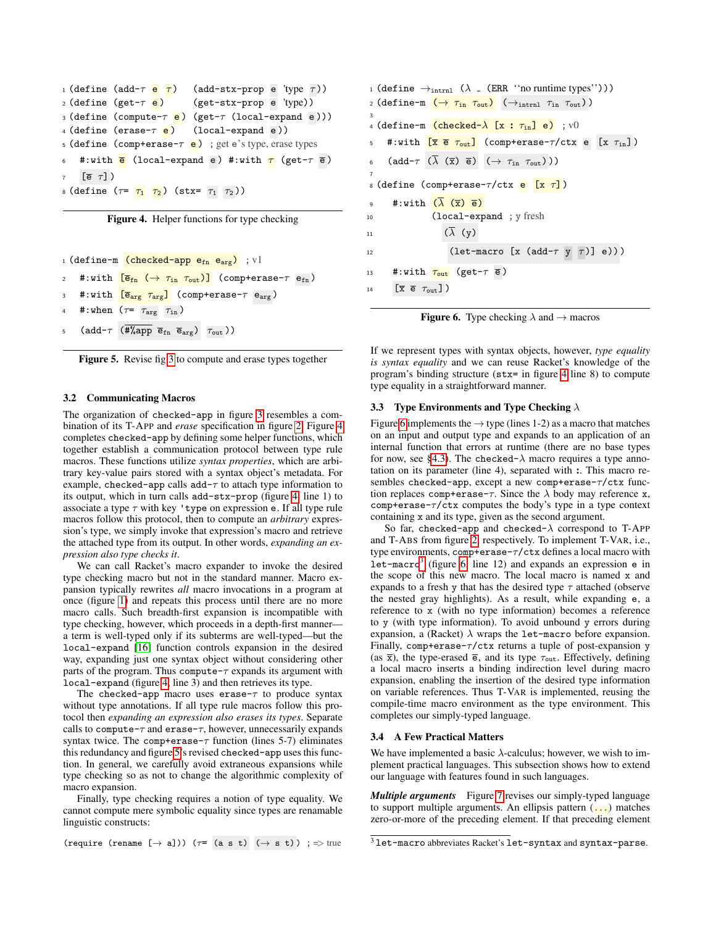```
1 (define (add-\tau e \tau) (add-stx-prop e 'type \tau))
2 (define (get-\tau e) (get-stx-prop e 'type))
3 (define (compute-τ e) (get-τ (local-expand e)))
4 (define (erase-\tau e) (local-expand e))
5 (define (comp+erase-\tau e) ; get e's type, erase types
6 #:with <mark>e</mark> (local-expand e) #:with <mark>τ</mark> (get-τ e)
7 \overline{[e 7]}8 (define (\tau = \frac{\tau_1}{\tau_1} \frac{\tau_2}{\tau_2}) (stx= \tau_1 \tau_2))
```
<span id="page-2-0"></span>

| Figure 4. Helper functions for type checking |  |  |
|----------------------------------------------|--|--|
|                                              |  |  |

```
1 (define-m (checked-app efn earg) ; vl
2 #:with \boxed{e_{\text{fn}} \ (\rightarrow \tau_{\text{in}} \ \tau_{\text{out}})} (comp+erase-\tau e<sub>fn</sub>)
3 #:with <mark>[ē<sub>arg</sub> τ<sub>arg</sub>]</mark> (comp+erase-τ e<sub>arg</sub>)
4 #:when (\tau = \tau_{\text{arg}} \tau_{\text{in}})5 (add-\tau (\overline{\# \mathcal{H}^{\mathcal{P}}(\text{app}} \overline{e}_{\text{fn}} \overline{e}_{\text{arg}}) \tau_{\text{out}}))
```
<span id="page-2-1"></span>Figure 5. Revise fig [3](#page-1-4) to compute and erase types together

## 3.2 Communicating Macros

The organization of checked-app in figure [3](#page-1-4) resembles a combination of its T-APP and *erase* specification in figure [2.](#page-1-3) Figure [4](#page-2-0) completes checked-app by defining some helper functions, which together establish a communication protocol between type rule macros. These functions utilize *syntax properties*, which are arbitrary key-value pairs stored with a syntax object's metadata. For example, checked-app calls add- $\tau$  to attach type information to its output, which in turn calls add-stx-prop (figure [4,](#page-2-0) line 1) to associate a type  $\tau$  with key 'type on expression e. If all type rule macros follow this protocol, then to compute an *arbitrary* expression's type, we simply invoke that expression's macro and retrieve the attached type from its output. In other words, *expanding an expression also type checks it*.

We can call Racket's macro expander to invoke the desired type checking macro but not in the standard manner. Macro expansion typically rewrites *all* macro invocations in a program at once (figure [1\)](#page-1-2) and repeats this process until there are no more macro calls. Such breadth-first expansion is incompatible with type checking, however, which proceeds in a depth-first manner a term is well-typed only if its subterms are well-typed—but the local-expand [\[16\]](#page-11-25) function controls expansion in the desired way, expanding just one syntax object without considering other parts of the program. Thus compute- $\tau$  expands its argument with local-expand (figure [4,](#page-2-0) line 3) and then retrieves its type.

The checked-app macro uses erase- $\tau$  to produce syntax without type annotations. If all type rule macros follow this protocol then *expanding an expression also erases its types*. Separate calls to compute- $\tau$  and erase- $\tau$ , however, unnecessarily expands syntax twice. The comp+erase- $\tau$  function (lines 5-7) eliminates this redundancy and figure [5'](#page-2-1)s revised checked-app uses this function. In general, we carefully avoid extraneous expansions while type checking so as not to change the algorithmic complexity of macro expansion.

Finally, type checking requires a notion of type equality. We cannot compute mere symbolic equality since types are renamable linguistic constructs:

(require (rename  $[\rightarrow a]$ )) ( $\tau$ = (a s t) ( $\rightarrow$  s t)) ; => true

```
1 (define \rightarrowintrnl (\lambda (ERR ''no runtime types'')))
2 (define-m \left(\rightarrow \tau_{\text{in}} \tau_{\text{out}}\right) (\rightarrowintrnl \tau_{\text{in}} \tau_{\text{out}}))
 3
4 (define-m (checked-\lambda [x : \tau_{\text{in}}] e) ; v0
5 #:with \overline{[x \overline{e} \tau_{out}]} (comp+erase-\tau/ctx e [x \tau_{in}])
6 (add-\tau (\overline{\lambda} (\overline{x}) \overline{e}) (\rightarrow \tau_{\text{in}} \tau_{\text{out}})))
 7
8 (define (comp+erase-\tau/ctx e [x \tau])
9 #:with (\overline{\lambda} (\overline{x}) \overline{e})10 (local-expand ; y fresh
11 (\overline{\lambda} \quad (y))12 (let-macro [x (add-\tau y \tau)] e)))
13 #:with \tau_{\text{out}} (get-\tau e)
14 [\overline{x} \overline{e} \tau_{\text{out}}])
```
<span id="page-2-2"></span>

If we represent types with syntax objects, however, *type equality is syntax equality* and we can reuse Racket's knowledge of the program's binding structure (stx= in figure [4](#page-2-0) line 8) to compute type equality in a straightforward manner.

## 3.3 Type Environments and Type Checking  $\lambda$

Figure [6](#page-2-2) implements the  $\rightarrow$  type (lines 1-2) as a macro that matches on an input and output type and expands to an application of an internal function that errors at runtime (there are no base types for now, see [§4.3\)](#page-4-0). The checked- $\lambda$  macro requires a type annotation on its parameter (line 4), separated with :. This macro resembles checked-app, except a new comp+erase-τ/ctx function replaces comp+erase- $\tau$ . Since the  $\lambda$  body may reference x,  $comperase- $\tau$ /ctx computes the body's type in a type context$ containing x and its type, given as the second argument.

So far, checked-app and checked- $\lambda$  correspond to T-APP and T-ABS from figure [2,](#page-1-3) respectively. To implement T-VAR, i.e., type environments, comp+erase- $\tau$ /ctx defines a local macro with  $let$ -macro<sup>[3](#page-2-3)</sup> (figure [6,](#page-2-2) line 12) and expands an expression  $e$  in the scope of this new macro. The local macro is named x and expands to a fresh y that has the desired type  $\tau$  attached (observe the nested gray highlights). As a result, while expanding e, a reference to x (with no type information) becomes a reference to y (with type information). To avoid unbound y errors during expansion, a (Racket)  $\lambda$  wraps the let-macro before expansion. Finally, comp+erase- $\tau$ /ctx returns a tuple of post-expansion y (as  $\bar{x}$ ), the type-erased  $\bar{e}$ , and its type  $\tau_{\text{out}}$ . Effectively, defining a local macro inserts a binding indirection level during macro expansion, enabling the insertion of the desired type information on variable references. Thus T-VAR is implemented, reusing the compile-time macro environment as the type environment. This completes our simply-typed language.

#### 3.4 A Few Practical Matters

We have implemented a basic  $\lambda$ -calculus; however, we wish to implement practical languages. This subsection shows how to extend our language with features found in such languages.

*Multiple arguments* Figure [7](#page-3-1) revises our simply-typed language to support multiple arguments. An ellipsis pattern  $(\ldots)$  matches zero-or-more of the preceding element. If that preceding element

<span id="page-2-3"></span><sup>3</sup> let-macro abbreviates Racket's let-syntax and syntax-parse.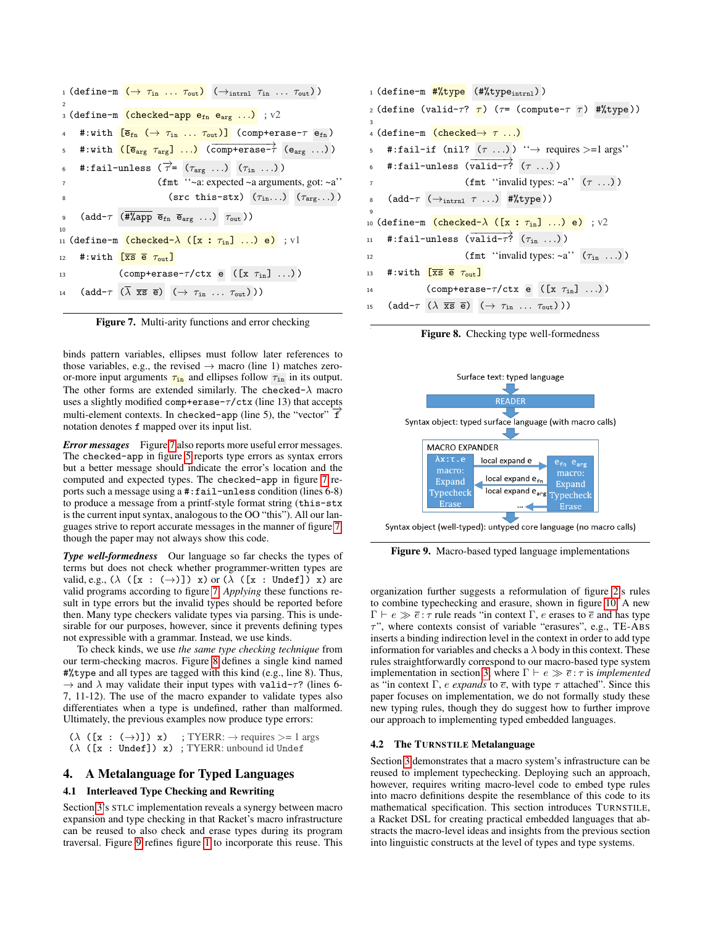```
1 (define-m \overline{(\rightarrow \tau_{\text{in}} \dots \tau_{\text{out}})} (\rightarrow intrnl \tau_{\text{in}} \dots \tau_{\text{out}}))
 2
 3 (define-m (checked-app e<sub>fn</sub> e<sub>arg</sub> ...); v2#:with \boxed{\mathbf{\overline{e}}_\text{fn} (\to \tau_\text{in} \ldots \tau_\text{out})]\top (comp+erase-\tau \mathbf{e}_\text{fn})
  \frac{1}{\sqrt{5}} #:with \frac{1}{\sqrt{5}} (\frac{1}{\sqrt{5}} \frac{1}{\sqrt{2}} \frac{1}{\sqrt{2}} \frac{1}{\sqrt{2}} \frac{1}{\sqrt{2}} \frac{1}{\sqrt{2}} \frac{1}{\sqrt{2}} \frac{1}{\sqrt{2}} \frac{1}{\sqrt{2}} \frac{1}{\sqrt{2}} \frac{1}{\sqrt{2}} \frac{1}{\sqrt{2}} \frac{1}{\sqrt{2}} \frac{1}{\sqrt{2}} \frac{16 #:fail-unless (\overrightarrow{\tau} = (\tau_{\text{arg}} \dots) (\tau_{\text{in}} \dots))7 \quad (fmt \cdot \cdot -a: expected ~a arguments, got: ~a''
 8 (src this-stx) (\tau_{\text{in}}...) (\tau_{\text{arg}}...)9 (add-\tau (\overline{\# \& \text{app}} \overline{e}_{\text{fn}} \overline{e}_{\text{arg}} ...) \tau_{\text{out}}))
10
11 (define-m (checked-\lambda)(x;\tau_{in}]...) e); v1
12 #:with \overline{[xs] e \tau_{\text{out}}]}13 (comp+erase-\tau/ctx e ([x \tau_{\text{in}}] ...))
14 (add-\tau (\overline{\lambda} \ \overline{\text{xs}} \ \overline{\text{e}}) (\rightarrow \tau_{\text{in}} \dots \tau_{\text{out}})))
```
<span id="page-3-1"></span>Figure 7. Multi-arity functions and error checking

binds pattern variables, ellipses must follow later references to those variables, e.g., the revised  $\rightarrow$  macro (line 1) matches zeroor-more input arguments  $\tau_{\text{in}}$  and ellipses follow  $\tau_{\text{in}}$  in its output. The other forms are extended similarly. The checked- $\lambda$  macro uses a slightly modified comp+erase- $\tau$ /ctx (line 13) that accepts multi-element contexts. In checked-app (line 5), the "vector"  $\overrightarrow{f}$ notation denotes f mapped over its input list.

*Error messages* Figure [7](#page-3-1) also reports more useful error messages. The checked-app in figure [5](#page-2-1) reports type errors as syntax errors but a better message should indicate the error's location and the computed and expected types. The checked-app in figure [7](#page-3-1) reports such a message using a #:fail-unless condition (lines 6-8) to produce a message from a printf-style format string (this-stx is the current input syntax, analogous to the OO "this"). All our languages strive to report accurate messages in the manner of figure [7,](#page-3-1) though the paper may not always show this code.

*Type well-formedness* Our language so far checks the types of terms but does not check whether programmer-written types are valid, e.g.,  $(\lambda \left( [x : (-)] \right) x)$  or  $(\lambda \left( [x :$  Undef]) x) are valid programs according to figure [7.](#page-3-1) *Applying* these functions result in type errors but the invalid types should be reported before then. Many type checkers validate types via parsing. This is undesirable for our purposes, however, since it prevents defining types not expressible with a grammar. Instead, we use kinds.

To check kinds, we use *the same type checking technique* from our term-checking macros. Figure [8](#page-3-2) defines a single kind named #%type and all types are tagged with this kind (e.g., line 8). Thus,  $\rightarrow$  and  $\lambda$  may validate their input types with valid- $\tau$ ? (lines 6-7, 11-12). The use of the macro expander to validate types also differentiates when a type is undefined, rather than malformed. Ultimately, the previous examples now produce type errors:

```
(\lambda ([x : (\rightarrow)]) x) ; TYERR: \rightarrow requires >= 1 args
(λ ([x : Undef]) x) ; TYERR: unbound id Undef
```
# <span id="page-3-0"></span>4. A Metalanguage for Typed Languages

## 4.1 Interleaved Type Checking and Rewriting

Section [3'](#page-1-0)s STLC implementation reveals a synergy between macro expansion and type checking in that Racket's macro infrastructure can be reused to also check and erase types during its program traversal. Figure [9](#page-3-3) refines figure [1](#page-1-2) to incorporate this reuse. This

```
1 (define-m \frac{#}{k type} (#%type<sub>intrnl</sub>))
 2 (define (valid-\tau? \tau) (\tau= (compute-\tau \tau) #%type))
 3
 4 (define-m (checked \rightarrow \tau ...)#:fail-if (nil? (\tau \dots)) "\rightarrow requires >=1 args"
      #:fail-unless (\overrightarrow{valid-r?} (\tau \dots))(fmt ''invalid types: \sim a'' (\tau ...))
       (\text{add-}\tau \ (\rightarrow_{\text{intrnl}} \ \tau \ \dots) \ \sharp\mathcal{E}^{\ast}(\text{type}))9
10 (define-m \overline{(checked-\lambda)(x : \tau_{in}] \dots )}) ; v2
11 #:fail-unless (\overrightarrow{valid-r?} (\tau_{in} ...) )12 (fmt ''invalid types: \sim a'' (\tau_{\text{in}} ...))
13 #:with [\overline{\text{xs}} \overline{\text{e}} \tau_{\text{out}}]14 (comp+erase-\tau/ctx e ([x \tau_{\text{in}}] ...))
15 (add-\tau (\lambda \ \overline{\text{xs}} \ \overline{\text{e}}) (\rightarrow \tau_{\text{in}} \dots \tau_{\text{out}})))
```
<span id="page-3-2"></span>



<span id="page-3-3"></span>Figure 9. Macro-based typed language implementations

organization further suggests a reformulation of figure [2'](#page-1-3)s rules to combine typechecking and erasure, shown in figure [10.](#page-4-1) A new  $\Gamma \vdash e \gg \overline{e} : \tau$  rule reads "in context  $\Gamma$ , e erases to  $\overline{e}$  and has type  $\tau$ ", where contexts consist of variable "erasures", e.g., TE-ABS inserts a binding indirection level in the context in order to add type information for variables and checks a  $\lambda$  body in this context. These rules straightforwardly correspond to our macro-based type system implementation in section [3,](#page-1-0) where  $\Gamma \vdash e \gg \overline{e} : \tau$  is *implemented* as "in context  $\Gamma$ , *e expands* to  $\bar{e}$ , with type  $\tau$  attached". Since this paper focuses on implementation, we do not formally study these new typing rules, though they do suggest how to further improve our approach to implementing typed embedded languages.

#### 4.2 The TURNSTILE Metalanguage

Section [3](#page-1-0) demonstrates that a macro system's infrastructure can be reused to implement typechecking. Deploying such an approach, however, requires writing macro-level code to embed type rules into macro definitions despite the resemblance of this code to its mathematical specification. This section introduces TURNSTILE, a Racket DSL for creating practical embedded languages that abstracts the macro-level ideas and insights from the previous section into linguistic constructs at the level of types and type systems.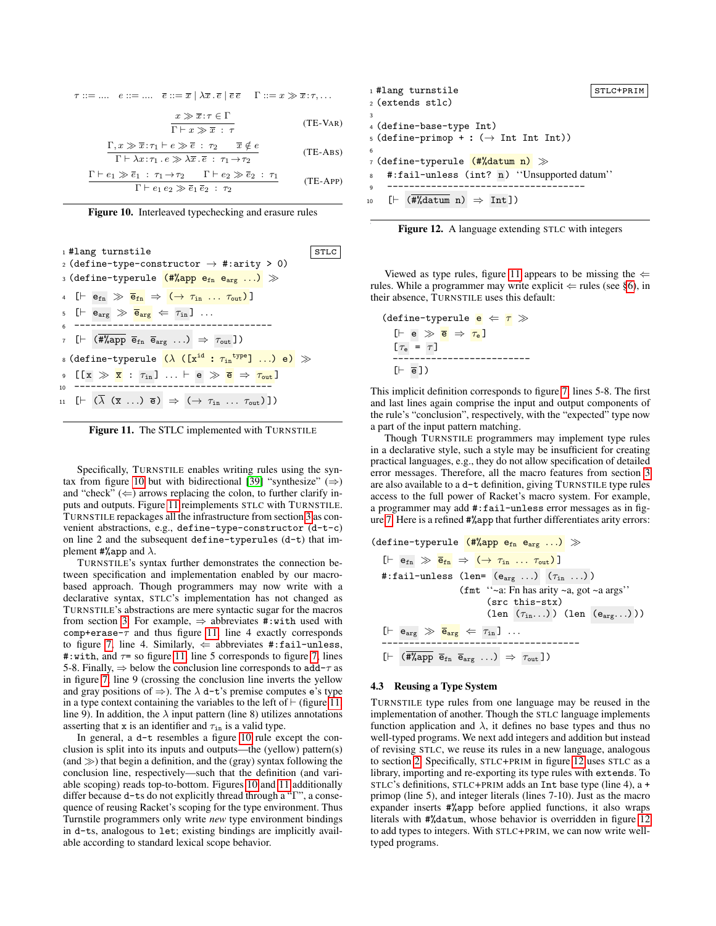$$
\tau ::= \ldots \quad e ::= \ldots \quad \overline{e} ::= \overline{x} \mid \lambda \overline{x} \cdot \overline{e} \mid \overline{e} \overline{e} \quad \Gamma ::= x \gg \overline{x} : \tau, \ldots
$$

$$
\frac{x \gg \overline{x} : \tau \in \Gamma}{\Gamma \vdash x \gg \overline{x} : \tau}
$$
 (TE-VAR)

$$
\frac{\Gamma, x \gg \overline{x} : \tau_1 \vdash e \gg \overline{e} : \tau_2 \qquad \overline{x} \notin e}{\Gamma \vdash \lambda x : \tau_1 \cdot e \gg \lambda \overline{x} \cdot \overline{e} : \tau_1 \to \tau_2}
$$
\n(TE-ABS)

$$
\frac{\Gamma \vdash e_1 \gg \overline{e}_1 : \tau_1 \to \tau_2 \qquad \Gamma \vdash e_2 \gg \overline{e}_2 : \tau_1}{\Gamma \vdash e_1 e_2 \gg \overline{e}_1 \overline{e}_2 : \tau_2}
$$
 (TE-APP)

<span id="page-4-1"></span>



<span id="page-4-2"></span>Figure 11. The STLC implemented with TURNSTILE

Specifically, TURNSTILE enables writing rules using the syntax from figure 10 but with bidirectional [39] "synthesize"  $(\Rightarrow)$ and "check"  $(\Leftarrow)$  arrows replacing the colon, to further clarify inputs and outputs. Figure 11 reimplements STLC with TURNSTILE. TURNSTILE repackages all the infrastructure from section 3 as convenient abstractions, e.g., define-type-constructor (d-t-c) on line 2 and the subsequent define-typerules (d-t) that implement #% app and  $\lambda$ .

TURNSTILE's syntax further demonstrates the connection between specification and implementation enabled by our macrobased approach. Though programmers may now write with a declarative syntax, STLC's implementation has not changed as TURNSTILE's abstractions are mere syntactic sugar for the macros from section 3. For example,  $\Rightarrow$  abbreviates #: with used with comp+erase- $\tau$  and thus figure 11, line 4 exactly corresponds to figure 7, line 4. Similarly,  $\Leftarrow$  abbreviates #:fail-unless, #: with, and  $\tau$ = so figure 11, line 5 corresponds to figure 7, lines 5-8. Finally,  $\Rightarrow$  below the conclusion line corresponds to add- $\tau$  as in figure 7, line 9 (crossing the conclusion line inverts the yellow and gray positions of  $\Rightarrow$ ). The  $\lambda$  d-t's premise computes e's type in a type context containing the variables to the left of  $\vdash$  (figure 11, line 9). In addition, the  $\lambda$  input pattern (line 8) utilizes annotations asserting that x is an identifier and  $\tau_{\text{in}}$  is a valid type.

In general, a d-t resembles a figure 10 rule except the conclusion is split into its inputs and outputs—the (yellow) pattern(s)  $\alpha$  (and  $\gg$ ) that begin a definition, and the (gray) syntax following the conclusion line, respectively-such that the definition (and variable scoping) reads top-to-bottom. Figures 10 and 11 additionally differ because d-ts do not explicitly thread through a "T", a consequence of reusing Racket's scoping for the type environment. Thus Turnstile programmers only write new type environment bindings in d-ts, analogous to let; existing bindings are implicitly available according to standard lexical scope behavior.

| 1 #lang turnstile                                                 | STLC+PRIM |
|-------------------------------------------------------------------|-----------|
| 2 (extends stlc)                                                  |           |
|                                                                   |           |
| 4 (define-base-type Int)                                          |           |
| $_5$ (define-primop + : ( $\rightarrow$ Int Int Int))             |           |
| 6                                                                 |           |
| $\tau$ (define-typerule $(\text{#}^{\prime}\text{/dataum n}) \gg$ |           |
| 8 #:fail-unless (int? n) "Unsupported datum"                      |           |
| $\Omega$                                                          |           |
| $_{10}$ [ $\vdash$ (#%datum n) $\Rightarrow$ Int])                |           |

<span id="page-4-3"></span>

Viewed as type rules, figure 11 appears to be missing the  $\Leftarrow$ rules. While a programmer may write explicit  $\Leftarrow$  rules (see §6), in their absence, TURNSTILE uses this default:

$$
\begin{array}{ll}\n\text{(define-type rule } \mathbf{e} \Leftarrow \boldsymbol{\tau} \gg \\
\text{[} \vdash \mathbf{e} \gg \boldsymbol{\bar{e}} \Rightarrow \boldsymbol{\tau_e} \text{]}\n\\
\text{[} \boldsymbol{\tau_e} = \boldsymbol{\tau} \text{]}\n\\
\text{-----}\n\\
\text{[} \vdash \boldsymbol{\bar{e}} \text{]}\n\end{array}
$$

This implicit definition corresponds to figure 7, lines 5-8. The first and last lines again comprise the input and output components of the rule's "conclusion", respectively, with the "expected" type now a part of the input pattern matching.

Though TURNSTILE programmers may implement type rules in a declarative style, such a style may be insufficient for creating practical languages, e.g., they do not allow specification of detailed error messages. Therefore, all the macro features from section 3 are also available to a d-t definition, giving TURNSTILE type rules access to the full power of Racket's macro system. For example, a programmer may add #:fail-unless error messages as in figure 7. Here is a refined #%app that further differentiates arity errors:

```
\n(define-typerule\n
$$
\frac{(\# \text{Kapp eqn eqg} \dots)}{\text{er}} \gg\n \text{[} \text{Eqn} \gg \frac{\overline{e_{fn}} \Rightarrow (\to \tau_{in} \dots \tau_{out})]}{\overline{e_{fn}} \Rightarrow (\to \tau_{in} \dots \tau_{out})]}
$$
\n#:fail-unless\n   $(\text{len} = (e_{\text{arg}} \dots) (\tau_{in} \dots))$ \n   $(\text{fmt} \text{``-a: Fn has arity -a, got -a args''})$ \n   $(\text{src this - str})$ \n   $(\text{len} (\tau_{in} \dots)) \text{ (len } (e_{\text{arg}} \dots))$ \n   $\text{[} \text{Eqn} \gg \frac{\overline{e_{arg}}}{\overline{e_{nr}}} \Leftarrow \tau_{in}]\dots$ \n   $\text{Simpling} \Rightarrow \tau_{out} \text{ [}$ \n
```

#### <span id="page-4-0"></span>4.3 Reusing a Type System

TURNSTILE type rules from one language may be reused in the implementation of another. Though the STLC language implements function application and  $\lambda$ , it defines no base types and thus no well-typed programs. We next add integers and addition but instead of revising STLC, we reuse its rules in a new language, analogous to section 2. Specifically, STLC+PRIM in figure 12 uses STLC as a library, importing and re-exporting its type rules with extends. To STLC's definitions, STLC+PRIM adds an Int base type (line 4), a + primop (line 5), and integer literals (lines 7-10). Just as the macro expander inserts #%app before applied functions, it also wraps literals with #%datum, whose behavior is overridden in figure 12 to add types to integers. With STLC+PRIM, we can now write welltyped programs.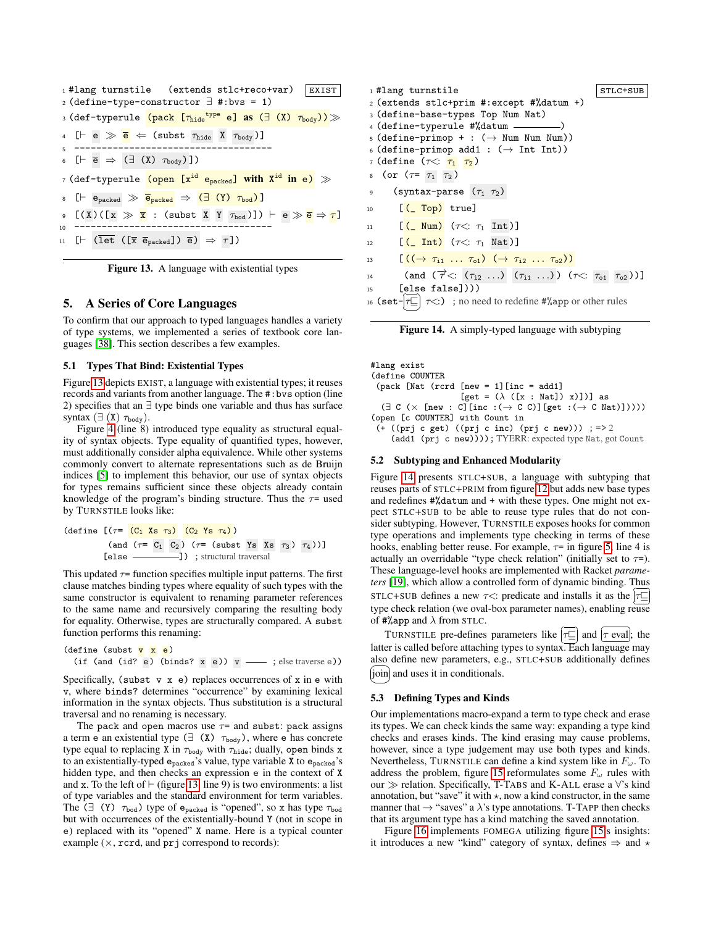$1$ #lang turnstile (extends stlc+reco+var) EXIST 2 (define-type-constructor  $\exists$  #:bvs = 1) 3 (def-typerule <mark>(pack [ $\tau_{\text{hide}}^{\text{type}}$  e] as (∃ (X)  $\tau_{\text{body}}$ ))≫</mark> 4 [ $\vdash$  e  $\gg$   $\bar{e}$   $\Leftarrow$  (subst  $\tau_{\text{hidden}}$  X  $\tau_{\text{body}}$ )] <sup>5</sup> ------------------------------------ 6  $[\vdash \overline{e} \Rightarrow (\exists (\text{X}) \tau_{body})])$  $_7$  (def-typerule <mark>(open [x<sup>id</sup> e<sub>packed</sub>] with X<sup>id</sup> in e)</mark>  $\gg$ 8 [ $\vdash$  e<sub>packed</sub>  $\gg$   $\overline{e}_{\text{packet}} \Rightarrow$  ( $\exists$  (Y)  $\tau_{\text{bod}}$ )] 9 [(X)([x  $\gg$  <mark>x</mark> : (subst X Y  $\tau_{\text{bod}}$ )]) ⊢ e  $\gg$  <mark>ē</mark> ⇒  $\tau$ ] <sup>10</sup> ------------------------------------ 11 [ $\vdash$  (let ([x  $\bar{e}_{\text{packet}}$ ])  $\bar{e}$ )  $\Rightarrow$   $\tau$ ])

<span id="page-5-1"></span>Figure 13. A language with existential types

## <span id="page-5-0"></span>5. A Series of Core Languages

To confirm that our approach to typed languages handles a variety of type systems, we implemented a series of textbook core languages [\[38\]](#page-11-27). This section describes a few examples.

#### 5.1 Types That Bind: Existential Types

Figure [13](#page-5-1) depicts EXIST, a language with existential types; it reuses records and variants from another language. The #:bvs option (line 2) specifies that an ∃ type binds one variable and thus has surface syntax  $(\exists (X) \tau_{body})$ .

Figure [4](#page-2-0) (line 8) introduced type equality as structural equality of syntax objects. Type equality of quantified types, however, must additionally consider alpha equivalence. While other systems commonly convert to alternate representations such as de Bruijn indices [\[5\]](#page-11-28) to implement this behavior, our use of syntax objects for types remains sufficient since these objects already contain knowledge of the program's binding structure. Thus the  $\tau$ = used by TURNSTILE looks like:

(define 
$$
[(\tau = \frac{(C_1 \text{ Xs } \tau_3)}{(T_2 \text{ Ys } \tau_4)})(\tau = C_1 \text{ C}_2) (\tau = (\text{subst } \text{Ys } \text{ Xs } \tau_3) \tau_4))]
$$
 [else —)] ; structural traversal

This updated  $\tau$ = function specifies multiple input patterns. The first clause matches binding types where equality of such types with the same constructor is equivalent to renaming parameter references to the same name and recursively comparing the resulting body for equality. Otherwise, types are structurally compared. A subst function performs this renaming:

```
(\text{define } (\text{subst } \overline{v} \times e))(if (and (id? e) (binds? x e)) v - ; else traverse e))
```
Specifically, (subst  $v \times e$ ) replaces occurrences of  $x$  in  $e$  with v, where binds? determines "occurrence" by examining lexical information in the syntax objects. Thus substitution is a structural traversal and no renaming is necessary.

The pack and open macros use  $\tau$ = and subst: pack assigns a term e an existential type  $(\exists (\mathbf{X}) \ \tau_{\text{body}})$ , where e has concrete type equal to replacing X in  $\tau_{\text{body}}$  with  $\tau_{\text{hidden}}$ ; dually, open binds x to an existentially-typed epacked's value, type variable X to epacked's hidden type, and then checks an expression e in the context of X and x. To the left of  $\vdash$  (figure [13,](#page-5-1) line 9) is two environments: a list of type variables and the standard environment for term variables. The  $(\exists (Y) \tau_{\text{bod}})$  type of e<sub>packed</sub> is "opened", so x has type  $\tau_{\text{bod}}$ but with occurrences of the existentially-bound Y (not in scope in e) replaced with its "opened" X name. Here is a typical counter example  $(x, \text{rcrd}, \text{and } \text{prj} \text{ correspond to records})$ :

<sup>1</sup> #lang turnstile stlc+sub <sup>2</sup> (extends stlc+prim #:except #%datum +) <sup>3</sup> (define-base-types Top Num Nat) <sup>4</sup> (define-typerule #%datum ) <sup>5</sup> (define-primop + : (→ Num Num Num)) <sup>6</sup> (define-primop add1 : (→ Int Int)) <sup>7</sup> (define (τ<: τ<sup>1</sup> τ<sup>2</sup> ) <sup>8</sup> (or (τ= τ<sup>1</sup> τ<sup>2</sup> ) <sup>9</sup> (syntax-parse (τ<sup>1</sup> τ2) <sup>10</sup> [(\_ Top) true] <sup>11</sup> [(\_ Num) (τ<: τ<sup>1</sup> Int)] <sup>12</sup> [(\_ Int) (τ<: τ<sup>1</sup> Nat)] <sup>13</sup> [((→ τi1 . . . τo1) (→ τi2 . . . τo2)) (and ( <sup>14</sup> −→τ <: (τi2 . . .) (τi1 . . .)) (τ<: <sup>τ</sup>o1 <sup>τ</sup>o2 ))] <sup>15</sup> [else false]))) 

e」<br>Set-✂ 16 (set  $-\tau \leq \tau$  ; no need to redefine #% app or other rules

<span id="page-5-2"></span>Figure 14. A simply-typed language with subtyping

```
#lang exist
(define COUNTER
 (pack [Nat (rcrd [new = 1][inc = add1]
                     [get = (\lambda \ ( [x : Nat]) x ) ] )] as
  (\exists C (\times [new : C][inc : (\rightarrow C C)] [get : (\rightarrow C Nat)]))))(open [c COUNTER] with Count in
 (+ ((prj c get) ((prj c inc) (prj c new))) ; = > 2
    (add1 (prj c new)))); TYERR: expected type Nat, got Count
```
## 5.2 Subtyping and Enhanced Modularity

Figure [14](#page-5-2) presents STLC+SUB, a language with subtyping that reuses parts of STLC+PRIM from figure [12](#page-4-3) but adds new base types and redefines #%datum and + with these types. One might not expect STLC+SUB to be able to reuse type rules that do not consider subtyping. However, TURNSTILE exposes hooks for common type operations and implements type checking in terms of these hooks, enabling better reuse. For example,  $\tau$ = in figure [5,](#page-2-1) line 4 is actually an overridable "type check relation" (initially set to  $\tau$ =). These language-level hooks are implemented with Racket *parameters* [\[19\]](#page-11-29), which allow a controlled form of dynamic binding. Thus STLC+SUB defines a new  $\tau$ <: predicate and installs it as the  $\tau_{\text{m}}$ ✂ ✁ type check relation (we oval-box parameter names), enabling reuse .<br>I of  $\frac{4}{2}$ app and  $\lambda$  from STLC.

TURNSTILE pre-defines parameters like  $\tau \equiv$  and  $\tau$  eval; the TORISS TIEE pre-defines parameters the  $\frac{1}{2}$  and  $\frac{1}{2}$  coangles to syntax. Each language may also define new parameters, e.g., STLC+SUB additionally defines ✝  $\lim_{i \to \infty}$  define from parameters, e.g. ✆

#### 5.3 Defining Types and Kinds

Our implementations macro-expand a term to type check and erase its types. We can check kinds the same way: expanding a type kind checks and erases kinds. The kind erasing may cause problems, however, since a type judgement may use both types and kinds. Nevertheless, TURNSTILE can define a kind system like in  $F_{\omega}$ . To address the problem, figure [15](#page-6-0) reformulates some  $F_{\omega}$  rules with our ≫ relation. Specifically, T-TABS and K-ALL erase a ∀'s kind annotation, but "save" it with  $\star$ , now a kind constructor, in the same manner that  $\rightarrow$  "saves" a  $\lambda$ 's type annotations. T-TAPP then checks that its argument type has a kind matching the saved annotation.

Figure [16](#page-6-1) implements FOMEGA utilizing figure [15'](#page-6-0)s insights: it introduces a new "kind" category of syntax, defines  $\Rightarrow$  and  $\star$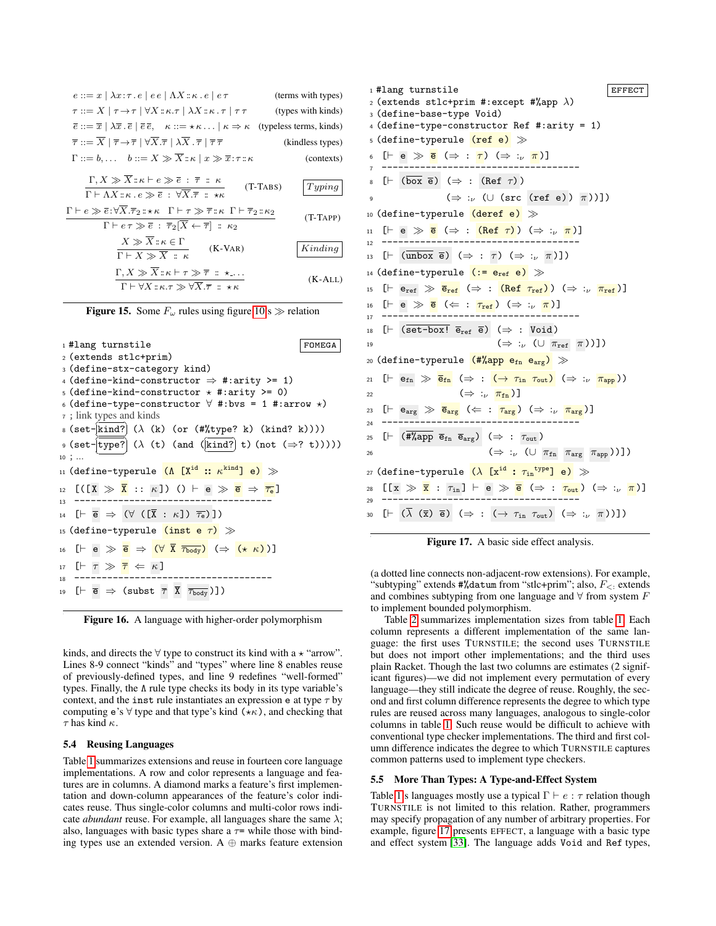| $e ::= x \mid \lambda x : \tau \cdot e \mid ee \mid \Lambda X : \kappa \cdot e \mid e \tau$                                                                                                                                                                                                                                                                          | (terms with types) |
|----------------------------------------------------------------------------------------------------------------------------------------------------------------------------------------------------------------------------------------------------------------------------------------------------------------------------------------------------------------------|--------------------|
| $\tau ::= X   \tau \rightarrow \tau   \forall X :: \kappa . \tau   \lambda X :: \kappa . \tau   \tau \tau$                                                                                                                                                                                                                                                           | (types with kinds) |
| $\overline{e} ::= \overline{x}   \lambda \overline{x} \cdot \overline{e}   \overline{e} \overline{e}, \kappa ::= \star \kappa    \kappa \Rightarrow \kappa$ (typeless terms, kinds)                                                                                                                                                                                  |                    |
| $\overline{\tau} ::= \overline{X}   \overline{\tau} \rightarrow \overline{\tau}   \forall \overline{X} . \overline{\tau}   \lambda \overline{X} . \overline{\tau}   \overline{\tau} \overline{\tau}$                                                                                                                                                                 | (kindless types)   |
| $\Gamma ::= b, \ldots \quad b ::= X \gg X : \kappa \mid x \gg \overline{x} : \tau : \kappa$                                                                                                                                                                                                                                                                          | (contexts)         |
| $\Gamma, X \gg \overline{X}$ : $\kappa \vdash e \gg \overline{e}$ : $\overline{\tau}$ : $\kappa$<br>$(T-TABLES)$<br>$\Gamma \vdash \Lambda X : \kappa \cdot e \gg \overline{e} : \forall \overline{X} . \overline{\tau} :: \star \kappa$                                                                                                                             | Typing             |
| $\Gamma \vdash e \gg \overline{e} \mathpunct{:}\forall \overline{X}. \overline{\tau}_2 \mathpunct{:}\star\kappa \;\;\; \Gamma \vdash \tau \gg \overline{\tau} \mathpunct{:}\kappa \;\; \Gamma \vdash \overline{\tau}_2 \mathpunct{:}\kappa_2$<br>$\Gamma \vdash e \tau \gg \overline{e}$ : $\overline{\tau}_2[\overline{X} \leftarrow \overline{\tau}]$ : $\kappa_2$ | $(T-TAPP)$         |
| $X \gg \overline{X}$ : $\kappa \in \Gamma$<br>$(K-VAR)$<br>$\Gamma \vdash X \gg \overline{X} :: \kappa$                                                                                                                                                                                                                                                              | Kinding            |
| $\Gamma, X \gg \overline{X}$ : $\kappa \vdash \tau \gg \overline{\tau}$ : $\star$<br>$\Gamma \vdash \forall X : \kappa.\tau \gg \forall X.\overline{\tau} :: \star \kappa$                                                                                                                                                                                           | $(K-ALL)$          |

<span id="page-6-0"></span>**Figure 15.** Some  $F_{\omega}$  rules using figure [10'](#page-4-1)s  $\gg$  relation

|    | 1 #lang turnstile                                                                                                                                   | FOMEGA |
|----|-----------------------------------------------------------------------------------------------------------------------------------------------------|--------|
|    | 2 (extends stlc+prim)                                                                                                                               |        |
|    | 3 (define-stx-category kind)                                                                                                                        |        |
|    | 4 (define-kind-constructor $\Rightarrow$ #:arity >= 1)                                                                                              |        |
|    | $_5$ (define-kind-constructor $\star$ #:arity >= 0)                                                                                                 |        |
|    | 6 (define-type-constructor $\forall$ #:bvs = 1 #:arrow $\star$ )                                                                                    |        |
|    | 7; link types and kinds                                                                                                                             |        |
|    | $s$ (set- $\left[\text{kind}\right]$ ( $\lambda$ (k) (or (#%type? k) (kind? k))))                                                                   |        |
|    | $\mathfrak{g}$ (set-type? ( $\lambda$ (t) (and (kind? t) (not ( $\Rightarrow$ ? t)))))                                                              |        |
|    | 10;                                                                                                                                                 |        |
|    | $_{11}$ (define-typerule $(\Lambda~[\mathrm{X}^{\mathrm{id}}~::~\kappa^{\mathrm{kind}}]$ e) $\gg$                                                   |        |
|    | $_{12}$ [([X $\gg$ $\overline{X}$ :: $\kappa$ ]) () $\vdash$ e $\gg$ <mark>e</mark> $\Rightarrow$ $\overline{\tau_{\rm e}}$ ]                       |        |
| 13 |                                                                                                                                                     |        |
|    | 14 $\left[\vdash \overline{e} \Rightarrow (\forall (\overline{X} : \kappa]) \overline{\tau_e})\right])$                                             |        |
|    | 15 (define-typerule $(\text{inst}\,\, \text{e}\,\, \tau)$ $\gg$                                                                                     |        |
|    | 16 $[ \vdash ]e ] \gg ]\overline{e} ] \Rightarrow ( \forall \ \overline{X} \ \overline{\tau_{\text{body}}} )$ $(\Rightarrow [ \star \ \kappa ) ) ]$ |        |
|    | 17 $\left[\begin{matrix} \vdash & \tau \end{matrix}\right]$ $\overline{\tau}$ $\Leftarrow$ $\kappa$ ]                                               |        |
| 18 |                                                                                                                                                     |        |
|    | 19 $\left[\vdash \overline{e} \Rightarrow \text{(subst } \overline{\tau} \ \overline{X} \ \overline{\tau_{body}}) \right]$                          |        |
|    |                                                                                                                                                     |        |

<span id="page-6-1"></span>Figure 16. A language with higher-order polymorphism

kinds, and directs the  $\forall$  type to construct its kind with a  $\star$  "arrow". Lines 8-9 connect "kinds" and "types" where line 8 enables reuse of previously-defined types, and line 9 redefines "well-formed" types. Finally, the Λ rule type checks its body in its type variable's context, and the inst rule instantiates an expression e at type  $\tau$  by computing e's  $\forall$  type and that type's kind ( $\star \kappa$ ), and checking that  $\tau$  has kind  $\kappa$ .

## 5.4 Reusing Languages

Table [1](#page-7-0) summarizes extensions and reuse in fourteen core language implementations. A row and color represents a language and features are in columns. A diamond marks a feature's first implementation and down-column appearances of the feature's color indicates reuse. Thus single-color columns and multi-color rows indicate *abundant* reuse. For example, all languages share the same  $\lambda$ ; also, languages with basic types share a  $\tau$ = while those with binding types use an extended version. A ⊕ marks feature extension

|          | i#lang turnstile<br><b>EFFECT</b>                                                                                                                                                                            |
|----------|--------------------------------------------------------------------------------------------------------------------------------------------------------------------------------------------------------------|
|          | 2 (extends stlc+prim #:except #%app $\lambda$ )                                                                                                                                                              |
|          | 3 (define-base-type Void)<br>4 (define-type-constructor Ref #:arity = 1)                                                                                                                                     |
|          | <sub>5</sub> (define-typerule <mark>(ref e)</mark> ≫                                                                                                                                                         |
| 6        | $[{\vdash} \mathsf{e} \gg \overline{\mathsf{e}} \ (\Rightarrow : \tau) \ (\Rightarrow :_{\nu} \pi)]$                                                                                                         |
| 7        |                                                                                                                                                                                                              |
| 8        | $[{\vdash}(\overline{box} \; \overline{e}) \; (\Rightarrow : (\text{Ref} \; \tau))$                                                                                                                          |
| 9        | $(\Rightarrow :_{\nu}$ ( $\cup$ (src (ref e)) $\pi$ ))])                                                                                                                                                     |
|          | <sup>10</sup> (define-typerule <mark>(deref e)</mark> $\gg$                                                                                                                                                  |
| 11       | $[{\vdash} \verb  e \gg \overline{\mathsf{e}} \; (\Rightarrow : \; (\mathsf{Ref} \; \tau)) \; (\Rightarrow :_{\nu} \; \pi)]$                                                                                 |
| 12       |                                                                                                                                                                                                              |
| 13       | $\left[\vdash \left(\overline{\text{unbox}}\,\overline{e}\right)\right]\left(\Rightarrow : \tau\right)\left(\Rightarrow :_{\nu}\pi\right)]$                                                                  |
|          | 14 (define-typerule $(z = e_{ref} e)$ $\gg$                                                                                                                                                                  |
| 15       | $[{\vdash} \mathsf{e}_{\text{ref}} \gg \overline{\mathsf{e}}_{\text{ref}} \;(\Rightarrow : \; (\text{Ref }\tau_{\text{ref}})) \; (\Rightarrow :_{\nu} \; \overline{\pi_{\text{ref}}})]$                      |
| 16       | $[{\vdash} \mathsf{e} \gg \overline{\mathsf{e}} \ (\Leftarrow : \tau_{\mathsf{ref}}) \ (\Rightarrow :_{\nu} \pi)]$                                                                                           |
| 17<br>18 | $[ \vdash (\overline{\text{set-box}}; \overline{e}_{\text{ref}}; \overline{e}) \ (\Rightarrow : \text{void})$                                                                                                |
| 19       | $(\Rightarrow :_{\nu}$ ( $\cup \pi_{ref} \pi$ )])                                                                                                                                                            |
|          | 20 (define-typerule <mark>(#%app e<sub>fn</sub> e<sub>arg</sub>)</mark> >>                                                                                                                                   |
| 21       | $[{\vdash} \mathsf{e}_{\texttt{fn}} \gg \overline{\mathsf{e}}_{\texttt{fn}} \; (\Rightarrow : \; (\to \tau_{\texttt{in}} \; \tau_{\texttt{out}}) \; (\Rightarrow :_{\nu} \; \overline{\pi}_{\texttt{app}}))$ |
| 22       | $(\Rightarrow :_{\nu} \pi_{fn})$ ]                                                                                                                                                                           |
|          |                                                                                                                                                                                                              |
| 23<br>24 | $[{\vdash} \mathsf{e}_{\text{arg}} \gg \overline{\mathsf{e}}_{\text{arg}} \ (\Leftarrow : \tau_{\text{arg}}) \ (\Rightarrow :_{\nu} \tau_{\text{arg}})]$                                                     |
| 25       | [ $\vdash$ (#%app $\overline{e}_{fn}$ $\overline{e}_{arg}$ ) ( $\Rightarrow$ : $\tau_{out}$ )                                                                                                                |
| 26       | $(\Rightarrow :_{\nu}$ ( $\cup \pi_{\text{fn}} \pi_{\text{arg}} \pi_{\text{app}}$ ))])                                                                                                                       |
|          | 27 (define-typerule $(\lambda \ [\textnormal{x}^{\textnormal{id}} : \tau_{\textnormal{in}}^{\textnormal{type}}]$ e) $\gg$                                                                                    |
| 28       | $[[x \gg \overline{x} : \tau_{in}] \vdash e \gg \overline{e} (\Rightarrow : \tau_{out}) (\Rightarrow :_{\nu} \overline{\pi})]$                                                                               |
| 29       |                                                                                                                                                                                                              |
| 30       | $[ \vdash (\overline{\lambda} (\overline{x}) \overline{e}) (\Rightarrow : (\rightarrow \tau_{in} \tau_{out}) (\Rightarrow :_{\nu} \pi))])$                                                                   |
|          |                                                                                                                                                                                                              |

<span id="page-6-2"></span>Figure 17. A basic side effect analysis.

(a dotted line connects non-adjacent-row extensions). For example, "subtyping" extends  $\frac{4}{6}$ datum from "stlc+prim"; also,  $F_{\leq 1}$  extends and combines subtyping from one language and  $\forall$  from system  $F$ to implement bounded polymorphism.

Table [2](#page-8-1) summarizes implementation sizes from table [1.](#page-7-0) Each column represents a different implementation of the same language: the first uses TURNSTILE; the second uses TURNSTILE but does not import other implementations; and the third uses plain Racket. Though the last two columns are estimates (2 significant figures)—we did not implement every permutation of every language—they still indicate the degree of reuse. Roughly, the second and first column difference represents the degree to which type rules are reused across many languages, analogous to single-color columns in table [1.](#page-7-0) Such reuse would be difficult to achieve with conventional type checker implementations. The third and first column difference indicates the degree to which TURNSTILE captures common patterns used to implement type checkers.

#### 5.5 More Than Types: A Type-and-Effect System

Table [1'](#page-7-0)s languages mostly use a typical  $\Gamma \vdash e : \tau$  relation though TURNSTILE is not limited to this relation. Rather, programmers may specify propagation of any number of arbitrary properties. For example, figure [17](#page-6-2) presents EFFECT, a language with a basic type and effect system [\[33\]](#page-11-30). The language adds Void and Ref types,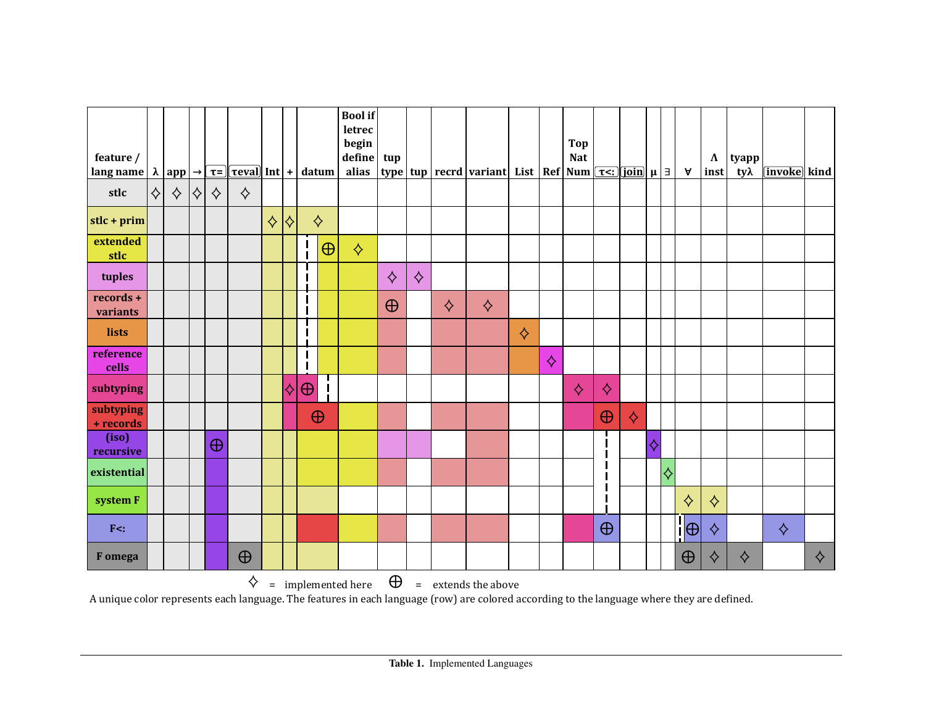<span id="page-7-0"></span>

| feature /<br>lang name $\lambda$ app $\rightarrow$ |                                                                                                                                                                                                             |   |                | $\tau$ =    | $[\text{teval}]$ Int $ . $ datum |            |   |             |                      | <b>Bool</b> if<br>letrec<br>begin<br>define<br>alias | tup         |   |   | type   tup   recrd   variant   List   Ref   Num   T<:   join   µ   ∃   Y |   |   | <b>Top</b><br><b>Nat</b> |             |   |                       |   |                       | $\Lambda$<br>inst | tyapp<br>$ty\lambda$ | [invoke] kind |   |
|----------------------------------------------------|-------------------------------------------------------------------------------------------------------------------------------------------------------------------------------------------------------------|---|----------------|-------------|----------------------------------|------------|---|-------------|----------------------|------------------------------------------------------|-------------|---|---|--------------------------------------------------------------------------|---|---|--------------------------|-------------|---|-----------------------|---|-----------------------|-------------------|----------------------|---------------|---|
| stlc                                               | $\diamond$                                                                                                                                                                                                  | ♦ | $\diamondsuit$ | ♦           | ♦                                |            |   |             |                      |                                                      |             |   |   |                                                                          |   |   |                          |             |   |                       |   |                       |                   |                      |               |   |
| stlc + prim                                        |                                                                                                                                                                                                             |   |                |             |                                  | $\Diamond$ | ♦ |             | ♦                    |                                                      |             |   |   |                                                                          |   |   |                          |             |   |                       |   |                       |                   |                      |               |   |
| extended<br>stlc                                   |                                                                                                                                                                                                             |   |                |             |                                  |            |   |             | $\bigoplus$          | ♦                                                    |             |   |   |                                                                          |   |   |                          |             |   |                       |   |                       |                   |                      |               |   |
| tuples                                             |                                                                                                                                                                                                             |   |                |             |                                  |            |   |             |                      |                                                      | ♦           | ♦ |   |                                                                          |   |   |                          |             |   |                       |   |                       |                   |                      |               |   |
| records +<br>variants                              |                                                                                                                                                                                                             |   |                |             |                                  |            |   | $\mathbf I$ |                      |                                                      | $\bigoplus$ |   | ♦ | ♦                                                                        |   |   |                          |             |   |                       |   |                       |                   |                      |               |   |
| lists                                              |                                                                                                                                                                                                             |   |                |             |                                  |            |   | H           |                      |                                                      |             |   |   |                                                                          | ♦ |   |                          |             |   |                       |   |                       |                   |                      |               |   |
| reference<br>cells                                 |                                                                                                                                                                                                             |   |                |             |                                  |            |   | I           |                      |                                                      |             |   |   |                                                                          |   | ♦ |                          |             |   |                       |   |                       |                   |                      |               |   |
| subtyping                                          |                                                                                                                                                                                                             |   |                |             |                                  |            | ♦ | $\bigoplus$ | L.<br>$\blacksquare$ |                                                      |             |   |   |                                                                          |   |   | ♦                        | ♦           |   |                       |   |                       |                   |                      |               |   |
| subtyping<br>+ records                             |                                                                                                                                                                                                             |   |                |             |                                  |            |   |             | $\bigoplus$          |                                                      |             |   |   |                                                                          |   |   |                          | $\bigoplus$ | ♦ |                       |   |                       |                   |                      |               |   |
| (iso)<br>recursive                                 |                                                                                                                                                                                                             |   |                | $\bigoplus$ |                                  |            |   |             |                      |                                                      |             |   |   |                                                                          |   |   |                          |             |   | $\overline{\diamond}$ |   |                       |                   |                      |               |   |
| existential                                        |                                                                                                                                                                                                             |   |                |             |                                  |            |   |             |                      |                                                      |             |   |   |                                                                          |   |   |                          |             |   |                       | ♦ |                       |                   |                      |               |   |
| system F                                           |                                                                                                                                                                                                             |   |                |             |                                  |            |   |             |                      |                                                      |             |   |   |                                                                          |   |   |                          |             |   |                       |   | ♦                     | ♦                 |                      |               |   |
| $F$ $\leq$ :                                       |                                                                                                                                                                                                             |   |                |             |                                  |            |   |             |                      |                                                      |             |   |   |                                                                          |   |   |                          | $\bigoplus$ |   |                       |   | $\frac{1}{\bigoplus}$ | ♦                 |                      | ♦             |   |
| F omega                                            |                                                                                                                                                                                                             |   |                |             | $\bigoplus$                      |            |   |             |                      |                                                      |             |   |   |                                                                          |   |   |                          |             |   |                       |   | $\bigoplus$           | ♦                 | ♦                    |               | ♦ |
|                                                    | $\bigoplus$<br>♦<br>= implemented here<br>= extends the above<br>A unique color represents each language. The features in each language (row) are colored according to the language where they are defined. |   |                |             |                                  |            |   |             |                      |                                                      |             |   |   |                                                                          |   |   |                          |             |   |                       |   |                       |                   |                      |               |   |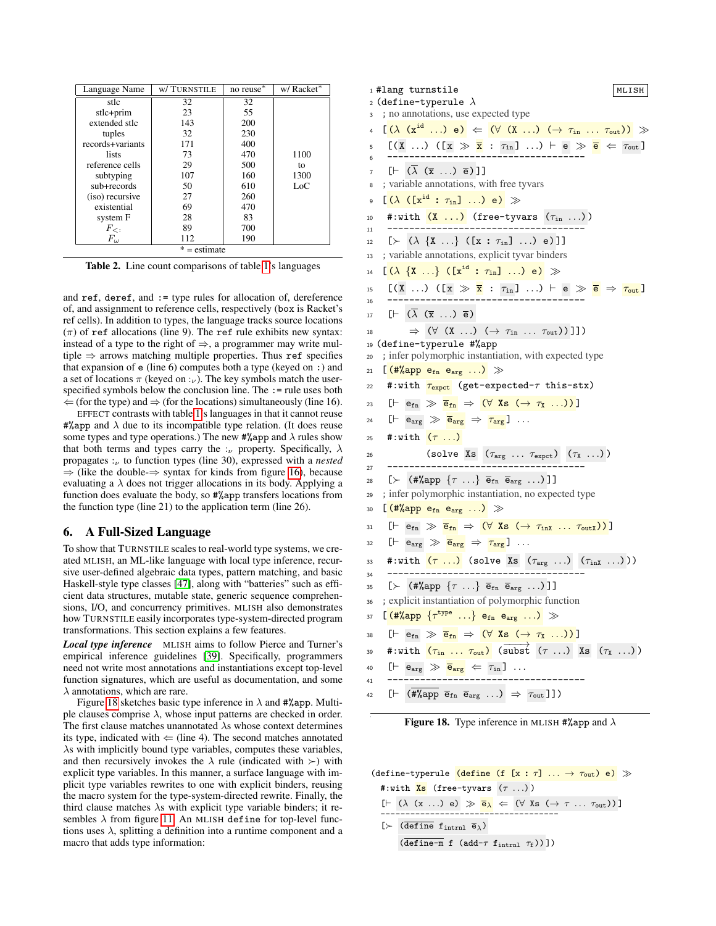| Language Name    | w/TURNSTILE    | no reuse* | w/Racket* |
|------------------|----------------|-----------|-----------|
| stlc             | 32             | 32        |           |
| stlc+prim        | 23             | 55        |           |
| extended stlc    | 143            | 200       |           |
| tuples           | 32             | 230       |           |
| records+variants | 171            | 400       |           |
| lists            | 73             | 470       | 1100      |
| reference cells  | 29             | 500       | to        |
| subtyping        | 107            | 160       | 1300      |
| sub+records      | 50             | 610       | LoC       |
| (iso) recursive  | 27             | 260       |           |
| existential      | 69             | 470       |           |
| system F         | 28             | 83        |           |
| $F_{\leq}$       | 89             | 700       |           |
| $F_{\omega}$     | 112            | 190       |           |
|                  | $* =$ estimate |           |           |

<span id="page-8-1"></span>Table 2. Line count comparisons of table [1'](#page-7-0)s languages

and ref, deref, and := type rules for allocation of, dereference of, and assignment to reference cells, respectively (box is Racket's ref cells). In addition to types, the language tracks source locations  $(\pi)$  of ref allocations (line 9). The ref rule exhibits new syntax: instead of a type to the right of  $\Rightarrow$ , a programmer may write multiple  $\Rightarrow$  arrows matching multiple properties. Thus ref specifies that expansion of e (line 6) computes both a type (keyed on :) and a set of locations  $\pi$  (keyed on :<sub>v</sub>). The key symbols match the userspecified symbols below the conclusion line. The := rule uses both  $\Leftarrow$  (for the type) and  $\Rightarrow$  (for the locations) simultaneously (line 16).

EFFECT contrasts with table [1'](#page-7-0)s languages in that it cannot reuse #% app and  $\lambda$  due to its incompatible type relation. (It does reuse some types and type operations.) The new  $\frac{4}{2}$ app and  $\lambda$  rules show that both terms and types carry the :<sub>ν</sub> property. Specifically,  $\lambda$ propagates :<sup>ν</sup> to function types (line 30), expressed with a *nested*  $\Rightarrow$  (like the double- $\Rightarrow$  syntax for kinds from figure [16\)](#page-6-1), because evaluating a  $\lambda$  does not trigger allocations in its body. Applying a function does evaluate the body, so #%app transfers locations from the function type (line 21) to the application term (line 26).

## <span id="page-8-0"></span>6. A Full-Sized Language

To show that TURNSTILE scales to real-world type systems, we created MLISH, an ML-like language with local type inference, recursive user-defined algebraic data types, pattern matching, and basic Haskell-style type classes [\[47\]](#page-11-31), along with "batteries" such as efficient data structures, mutable state, generic sequence comprehensions, I/O, and concurrency primitives. MLISH also demonstrates how TURNSTILE easily incorporates type-system-directed program transformations. This section explains a few features.

*Local type inference* MLISH aims to follow Pierce and Turner's empirical inference guidelines [\[39\]](#page-11-26). Specifically, programmers need not write most annotations and instantiations except top-level function signatures, which are useful as documentation, and some  $\lambda$  annotations, which are rare.

Figure [18](#page-8-2) sketches basic type inference in  $\lambda$  and #% app. Multiple clauses comprise  $\lambda$ , whose input patterns are checked in order. The first clause matches unannotated  $\lambda$ s whose context determines its type, indicated with  $\Leftarrow$  (line 4). The second matches annotated λs with implicitly bound type variables, computes these variables, and then recursively invokes the  $\lambda$  rule (indicated with  $\succ$ ) with explicit type variables. In this manner, a surface language with implicit type variables rewrites to one with explicit binders, reusing the macro system for the type-system-directed rewrite. Finally, the third clause matches  $\lambda$ s with explicit type variable binders; it resembles  $\lambda$  from figure [11.](#page-4-2) An MLISH define for top-level functions uses  $\lambda$ , splitting a definition into a runtime component and a macro that adds type information:

1 #lang turnstile MLISH 2 (define-typerule  $\lambda$  ; no annotations, use expected type  $\begin{array}{cc} \hbox{4} & {\overline{\left[ \left( \lambda \right. \left( \mathop{\text{x}}\nolimits^{\text{id}} \ldots \right) \right. \; \mathop{\text{e}} \right)}} \end{array} \Leftarrow \; \begin{array}{cc} \hbox{(\forall \; (\text{X} \; \ldots) \; \left( \rightarrow \; \tau_{\text{in}} \; \ldots \; \tau_{\text{out}} \right) \right)} \end{array} \Rightarrow$  $[(X \dots) ([x \gg \overline{x} : \tau_{in}] \dots) \vdash e \gg \overline{e} \Leftarrow \tau_{out}]$  ------------------------------------  $\left[\begin{matrix} \begin{matrix} \overline{\lambda} & \overline{\lambda} & \overline{\lambda} & \cdots \end{matrix} & \overline{e} \end{matrix}\begin{matrix} \overline{e} \end{matrix} \end{matrix}\right]$  ; variable annotations, with free tyvars [(λ ([xid <sup>9</sup> : τin] . . .) e) 10 #:with  $(X \dots)$  (free-tyvars  $(\tau_{\text{in}} \dots)$ ) 11 -<del>---------------------------------</del>- $[\succ (\lambda \{X \dots \} (x : \tau_{in}] \dots ) e)]$  ; variable annotations, explicit tyvar binders  $\left[\begin{array}{ccc} \lambda & \{ \texttt{X} \ \ldots \} \end{array} \right. \left(\left[\begin{matrix} \texttt{x}^{\texttt{id}} \ \texttt{:} \ \tau_{\texttt{in}} \end{matrix} \right] \ \ldots \right)$  e)  $\gg$  $[(X \ldots) ([X \gg \overline{X} : \tau_{\text{in}}] \ldots) \vdash e \gg \overline{e} \Rightarrow \tau_{\text{out}}]$  ------------------------------------  $\left[\begin{matrix} \cdot & \cdot & \cdot \\ \cdot & \cdot & \cdot \\ \cdot & \cdot & \cdot \\ \cdot & \cdot & \cdot \end{matrix}\right]$  $\Rightarrow (\forall (X \dots) (\rightarrow \tau_{in} \dots \tau_{out}))$ ]]) (define-typerule #%app ; infer polymorphic instantiation, with expected type  $\left[\frac{4}{4}$ app e<sub>fn</sub> e<sub>arg</sub> ...)  $\gg$  #:with  $\tau_{\text{expect}}$  (get-expected- $\tau$  this-stx)  $\left[\vdash e_{\text{fn}} \right] \gg \overline{e}_{\text{fn}} \Rightarrow (\forall \text{Xs} (\rightarrow \tau_{\text{X}} \dots))$  $\left[\begin{array}{ccc} \vdots & \vdots \\ \vdots & \vdots \end{array}\right] \otimes \overline{e_{\text{arg}}}\right] \Rightarrow \overline{\tau_{\text{arg}}}\right] \dots$ 25 #:with  $(\tau \ldots)$ 26 (solve Xs  $(\tau_{\text{arg}} \dots \tau_{\text{expt}})$   $(\tau_X \dots)$ ) ------------------------------------  $\left[ \succ \left( \# \text{Kapp} \left\{ \tau \ldots \right\} \, \overline{e}_{\text{fn}} \, \overline{e}_{\text{arg}} \, \ldots \right) \right]$  ; infer polymorphic instantiation, no expected type  $\left[\right. \left( \frac{\text{#}}{\text{supp}} \right. \text{e}_{\text{fn}} \right. \text{e}_{\text{arg}} \dots \left. \right] \gg$  $\left[\begin{array}{c|c} \vdash & \mathsf{e}_{\texttt{fn}} \end{array}\right] \gg \overline{\mathsf{e}}_{\texttt{fn}} \Rightarrow (\forall \texttt{Xs} (\rightarrow \tau_{\texttt{inX}} \dots \tau_{\texttt{outX}}))$  $\left[\begin{array}{ccc} \vdots & \vdots \end{array}\right]$   $\left[\begin{array}{ccc} \vdots & \vdots \end{array}\right]$   $\left[\begin{array}{ccc} \vdots & \vdots \end{array}\right]$   $\left[\begin{array}{ccc} \vdots & \vdots \end{array}\right]$   $\left[\begin{array}{ccc} \vdots & \vdots \end{array}\right]$   $\left[\begin{array}{ccc} \vdots & \vdots \end{array}\right]$ 33 #:with  $(\tau \ldots)$  (solve Xs  $(\tau_{\arg} \ldots)$   $(\tau_{\text{inX}} \ldots))$ ) ------------------------------------  $[\succ$  (#%app  $\{\tau \dots\}$   $\overline{e}_{fn}$   $\overline{e}_{arg}$  ...)]] ; explicit instantiation of polymorphic function  $\left[\frac{4\%app}{\pi^{\rm type}}\ldots\right]\; {\bf e_{fn}}\; {\bf e_{arg}}\; \ldots) \;\gg\;$  $\left[\vdash e_{\text{fn}} \right] \gg \overline{e}_{\text{fn}} \Rightarrow (\forall \text{Xs } (\rightarrow \tau_{\text{X}} \dots))$ 39 #:with  $(\tau_{\text{in}} \ldots \tau_{\text{out}})$  (subst  $(\tau \ldots)$  Xs  $(\tau_X \ldots)$ )  $\left[\begin{array}{ccc} \vdash & \mathsf{e}_{\text{arg}} \end{array} \right] \ge \frac{\mathsf{e}_{\text{arg}}}{\left[\begin{array}{ccc} \vdash & \mathsf{e}_{\text{arg}} \end{array} \right]} \iff \tau_{\text{in}} \right] \dots$  ------------------------------------  $\left[\begin{matrix} \begin{matrix} \begin{matrix} \end{matrix} \\ \end{matrix} \\ \begin{matrix} \end{matrix} \\ \end{matrix} \\ \begin{matrix} \end{matrix} \\ \end{matrix} \begin{matrix} \end{matrix} \\ \begin{matrix} \end{matrix} \\ \begin{matrix} \end{matrix} \\ \end{matrix} \begin{matrix} \end{matrix} \\ \begin{matrix} \end{matrix} \\ \begin{matrix} \end{matrix} \\ \begin{matrix} \end{matrix} \\ \end{matrix} \begin{matrix} \end{matrix} \\ \begin{matrix} \end{matrix} \\ \begin{matrix} \end{matrix} \\ \end{matrix} \begin{matrix} \end{matrix} \\ \begin{matrix} \end{matrix} \\ \begin{matrix} \end{$ 

<span id="page-8-2"></span>**Figure 18.** Type inference in MLISH #% app and  $\lambda$ 

(define-typerule (define (f  $[x : \tau]$  ...  $\rightarrow \tau_{\text{out}}$ ) e)  $\gg$ #:with  $\overline{\text{Xs}}$  (free-tyvars  $(\tau \dots)$ ) [ $\vdash (\lambda (x \ldots) e) \gg \overline{e}_{\lambda} \Leftarrow (\forall \text{Xs } (\rightarrow \tau \ldots \tau_{\text{out}}))$ ] ------------------------------------  $\left[ \succ \right]$  (define fintral  $\overline{e}_{\lambda}$ )  $(\overline{\text{define}} - m \text{ f } (\text{add-}\tau f_{\text{intrnl}} \tau_{f}))$ ])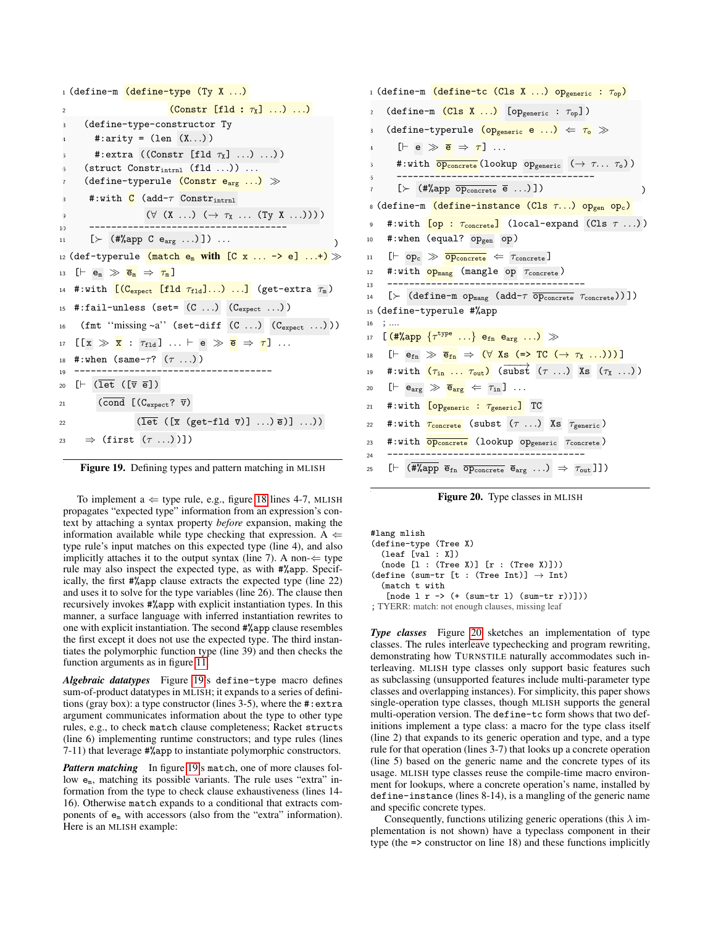```
1 (define-m (define-type (Ty X ...)
                                    (Constr [fld : \tau_{\texttt{x}}] ...) ...)
        (define-type-constructor Ty
 ą.
           #:arity = (len (X...))#:extra ((Constr [fld \tau_X] ...) ...))
 \sqrt{2}(\text{struct Construct} \; \text{Construct} \; (\text{fld} \; \ldots)) \; \ldots6
        #:with C (add-\tau Constr<sub>intrnl</sub>
 \mathbf{R}(\forall (X \dots) (\rightarrow \tau_X \dots (Ty X \dots)))10[\succ (#%app C e<sub>arg</sub> ...)]) ...
1112 (def-typerule (\text{match } e_{m} \text{ with } [C x ... \rightarrow e] ...+))
    [{\vdash} \ \, e_m \ \gg \ \overline{e}_m \ \Rightarrow \ \tau_m]13
   #:with [(C_{\text{expect}} [fld \tau_{\text{fid}}]...) ...] (get-extra \tau_{\text{m}}))
    #:fail-unless (set= (C \ldots) (C_{\text{expect}} \ldots))
       (fmt 'missing \sim a' ' (set-diff (C ...)(C_{expect} ...)))16
    [[x] \gg \overline{x} : \tau_{\text{fid}}] ... \vdash e \gg \overline{e} \Rightarrow \tau] ...17#:when (same-\tau? (\tau ...))
18
19[ \vdash (\overline{\text{let}} (\overline{\text{v}} \overline{\text{e}}))\overline{20}(\overline{\text{cond}} \ [(\mathcal{C}_{\text{expect}}? \ \overline{v})21
                         (\overline{\text{let}} (\overline{x} (\text{get-fld }\overline{v})) \dots) \overline{e}) \dots)\overline{22}\Rightarrow (first (\tau \dots))))
23
```
<span id="page-9-0"></span>

|  | Figure 19. Defining types and pattern matching in MLISH |  |  |
|--|---------------------------------------------------------|--|--|
|--|---------------------------------------------------------|--|--|

To implement  $a \leftarrow$  type rule, e.g., figure 18 lines 4-7, MLISH propagates "expected type" information from an expression's context by attaching a syntax property *before* expansion, making the information available while type checking that expression. A  $\Leftarrow$ type rule's input matches on this expected type (line 4), and also implicitly attaches it to the output syntax (line 7). A non- $\Leftarrow$  type rule may also inspect the expected type, as with #% app. Specifically, the first #% app clause extracts the expected type (line 22) and uses it to solve for the type variables (line 26). The clause then recursively invokes #% app with explicit instantiation types. In this manner, a surface language with inferred instantiation rewrites to one with explicit instantiation. The second #% app clause resembles the first except it does not use the expected type. The third instantiates the polymorphic function type (line 39) and then checks the function arguments as in figure 11.

Algebraic datatypes Figure 19's define-type macro defines sum-of-product datatypes in MLISH; it expands to a series of definitions (gray box): a type constructor (lines 3-5), where the #: extra argument communicates information about the type to other type rules, e.g., to check match clause completeness; Racket structs (line 6) implementing runtime constructors; and type rules (lines 7-11) that leverage #% app to instantiate polymorphic constructors.

**Pattern matching** In figure 19's match, one of more clauses follow  $e_m$ , matching its possible variants. The rule uses "extra" information from the type to check clause exhaustiveness (lines 14-16). Otherwise match expands to a conditional that extracts components of  $e_m$  with accessors (also from the "extra" information). Here is an MLISH example:

|                     | 1 (define-m (define-tc (Cls X ) opgeneric : $\tau_{\rm op}$ )                                                                                                                      |
|---------------------|------------------------------------------------------------------------------------------------------------------------------------------------------------------------------------|
| $\overline{2}$      | (define-m $(Cls X )$ [op <sub>generic</sub> : $\tau_{op}$ ])                                                                                                                       |
| 3                   | (define-typerule (op <sub>generic</sub> e ) $\Leftarrow \tau_{o} \gg$                                                                                                              |
| $\overline{4}$      | $[{\vdash} e \gg \overline{e} \Rightarrow \tau] $                                                                                                                                  |
| 5                   | #:with $\overline{op_{\text{concrete}}}$ (lookup $op_{\text{generic}}$ $(\rightarrow \tau \dots \tau_o)$ )                                                                         |
| 6<br>$\overline{7}$ | $[\succ$ (#%app $\overline{op_{\text{concrete}}}\ e)]$ )<br>$\mathcal{C}$                                                                                                          |
|                     | & (define-m (define-instance (Cls $\tau$ ) op <sub>gen</sub> op <sub>c</sub> )                                                                                                     |
| 9                   | #:with $\boxed{\text{op}: \tau_{\text{concrete}}]}$ (local-expand (Cls $\tau$ ))                                                                                                   |
| 10                  | #: when (equal? opgen op)                                                                                                                                                          |
| 11                  | $\begin{bmatrix} \vdash & \mathsf{opc} & \gg & \mathsf{\overline{op}}_{\mathsf{concrete}} \end{bmatrix} \Leftarrow \tau_{\mathsf{concrete}}$                                       |
| 12                  | #:with op <sub>mang</sub> (mangle op $\tau_{\text{concrete}}$ )                                                                                                                    |
| 13<br>14            | [ $\succ$ (define-m op <sub>mang</sub> (add- $\tau$ $\overline{op_{\text{concrete}}}$ $\tau_{\text{concrete}}$ ))])                                                                |
|                     | 15 (define-typerule #%app                                                                                                                                                          |
| 16                  | ;                                                                                                                                                                                  |
| 17                  | $\left[\frac{4\%app}{\pi}\left\{\tau^{\rm type}\ldots\right\}\right]\,e_{\rm fn}\,e_{\rm arg}\ldots\right)\;\gg\;$                                                                 |
| 18                  | $\left[\vdash e_{\text{fn}} \gg \overline{e}_{\text{fn}} \Rightarrow (\forall \text{Xs } (\Rightarrow \text{TC } (\rightarrow \tau_{\text{X}} \dots)))\right]$                     |
| 19                  | #:with $(\tau_{\text{in}} \dots \tau_{\text{out}})$ (subst $(\tau \dots)$ Xs $(\tau_X \dots)$ )                                                                                    |
| 20                  | $\begin{bmatrix} \mathsf{H} & \mathsf{e}_{\text{arg}} \end{bmatrix} \gg \begin{bmatrix} \overline{\mathsf{e}}_{\text{arg}} & \leftarrow & \tau_{\text{in}} \end{bmatrix} \dots$    |
| 21                  | #:with <mark>[Op<sub>generic</sub> : <math>\tau_{\tt generic}</math>]</mark> TC                                                                                                    |
| 22                  | #:with $\tau_{\text{concrete}}$ (subst $(\tau \dots)$ Xs $\tau_{\text{generic}}$ )                                                                                                 |
| 23                  | #:with <b>Opconcrete</b> (lookup opgeneric <i>T</i> concrete)                                                                                                                      |
| 24                  |                                                                                                                                                                                    |
| 25                  | $[ \vdash (\texttt{\#}\texttt{\%app} \ \overline{e}_{\texttt{fn}} \ \overline{o_{Pconcrete}} \ \overline{e}_{\texttt{arg}} \ \ldots ) \ \Rightarrow \ \tau_{\texttt{out}} \ ] ] )$ |

<span id="page-9-1"></span>Figure 20. Type classes in MLISH

#lang mlish (define-type (Tree X)  $\left(\text{leaf } [\text{val } : X]\right)$  $(node [1 : (Tree X)] [r : (Tree X)]))$ (define (sum-tr [t : (Tree Int)]  $\rightarrow$  Int) (match t with  $[node 1 r \rightarrow (+ (sum-tr 1) (sum-tr r))]))$ ; TYERR: match: not enough clauses, missing leaf

Type classes Figure 20 sketches an implementation of type classes. The rules interleave typechecking and program rewriting, demonstrating how TURNSTILE naturally accommodates such interleaving. MLISH type classes only support basic features such as subclassing (unsupported features include multi-parameter type) classes and overlapping instances). For simplicity, this paper shows single-operation type classes, though MLISH supports the general multi-operation version. The define-tc form shows that two definitions implement a type class: a macro for the type class itself (line 2) that expands to its generic operation and type, and a type rule for that operation (lines 3-7) that looks up a concrete operation (line 5) based on the generic name and the concrete types of its usage. MLISH type classes reuse the compile-time macro environment for lookups, where a concrete operation's name, installed by define-instance (lines 8-14), is a mangling of the generic name and specific concrete types.

Consequently, functions utilizing generic operations (this  $\lambda$  implementation is not shown) have a typeclass component in their type (the  $\Rightarrow$  constructor on line 18) and these functions implicitly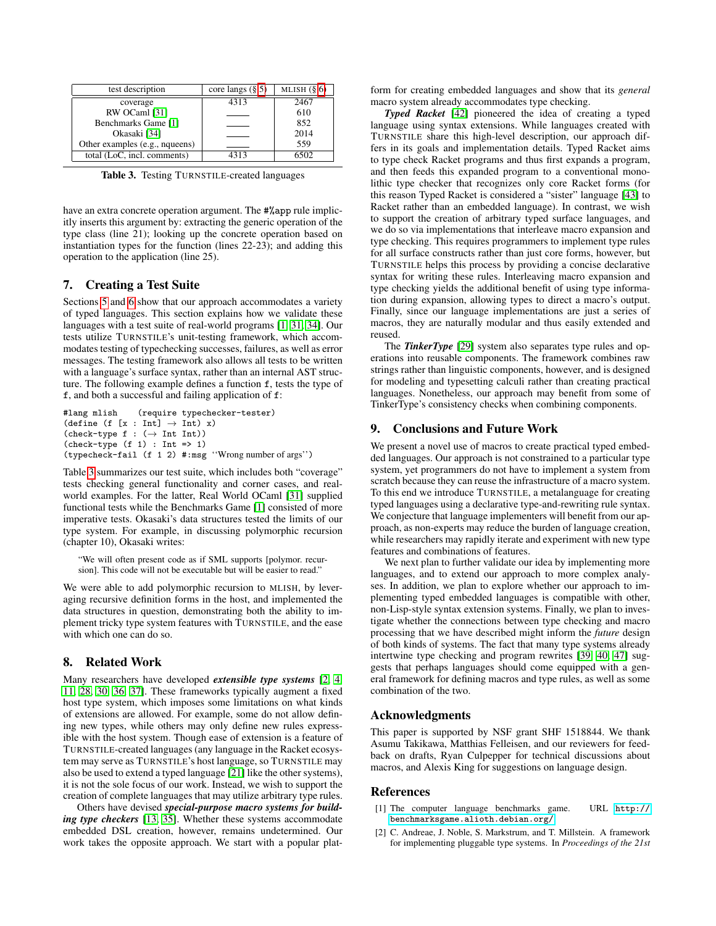| test description               | core langs $(\S 5)$ | MLISH $(\S 6)$ |
|--------------------------------|---------------------|----------------|
| coverage                       | 4313                | 2467           |
| RW OCaml [31]                  |                     | 610            |
| Benchmarks Game [1]            |                     | 852            |
| Okasaki [34]                   |                     | 2014           |
| Other examples (e.g., nqueens) |                     | 559            |
| total (LoC, incl. comments)    | 4313                | 6502           |

<span id="page-10-2"></span>Table 3. Testing TURNSTILE-created languages

have an extra concrete operation argument. The #% app rule implicitly inserts this argument by: extracting the generic operation of the type class (line 21); looking up the concrete operation based on instantiation types for the function (lines 22-23); and adding this operation to the application (line 25).

# <span id="page-10-0"></span>7. Creating a Test Suite

Sections [5](#page-5-0) and [6](#page-8-0) show that our approach accommodates a variety of typed languages. This section explains how we validate these languages with a test suite of real-world programs [\[1,](#page-10-1) [31,](#page-11-32) [34\]](#page-11-33). Our tests utilize TURNSTILE's unit-testing framework, which accommodates testing of typechecking successes, failures, as well as error messages. The testing framework also allows all tests to be written with a language's surface syntax, rather than an internal AST structure. The following example defines a function f, tests the type of f, and both a successful and failing application of f:

```
#lang mlish (require typechecker-tester)
(define (f [x : Int] \rightarrow Int) x)
(\text{check-type f}: (\rightarrow \text{Int Int}))(\text{check-type} (f 1) : \text{Int} \Rightarrow 1)(typecheck-fail (f 1 2) #:msg ''Wrong number of args'')
```
Table [3](#page-10-2) summarizes our test suite, which includes both "coverage" tests checking general functionality and corner cases, and realworld examples. For the latter, Real World OCaml [\[31\]](#page-11-32) supplied functional tests while the Benchmarks Game [\[1\]](#page-10-1) consisted of more imperative tests. Okasaki's data structures tested the limits of our type system. For example, in discussing polymorphic recursion (chapter 10), Okasaki writes:

"We will often present code as if SML supports [polymor. recursion]. This code will not be executable but will be easier to read."

We were able to add polymorphic recursion to MLISH, by leveraging recursive definition forms in the host, and implemented the data structures in question, demonstrating both the ability to implement tricky type system features with TURNSTILE, and the ease with which one can do so.

## 8. Related Work

Many researchers have developed *extensible type systems* [\[2,](#page-10-3) [4,](#page-11-34) [11,](#page-11-35) [28,](#page-11-36) [30,](#page-11-37) [36,](#page-11-38) [37\]](#page-11-39). These frameworks typically augment a fixed host type system, which imposes some limitations on what kinds of extensions are allowed. For example, some do not allow defining new types, while others may only define new rules expressible with the host system. Though ease of extension is a feature of TURNSTILE-created languages (any language in the Racket ecosystem may serve as TURNSTILE's host language, so TURNSTILE may also be used to extend a typed language [\[21\]](#page-11-40) like the other systems), it is not the sole focus of our work. Instead, we wish to support the creation of complete languages that may utilize arbitrary type rules.

Others have devised *special-purpose macro systems for building type checkers* [\[13,](#page-11-41) [35\]](#page-11-42). Whether these systems accommodate embedded DSL creation, however, remains undetermined. Our work takes the opposite approach. We start with a popular plat-

form for creating embedded languages and show that its *general* macro system already accommodates type checking.

*Typed Racket* [\[42\]](#page-11-11) pioneered the idea of creating a typed language using syntax extensions. While languages created with TURNSTILE share this high-level description, our approach differs in its goals and implementation details. Typed Racket aims to type check Racket programs and thus first expands a program, and then feeds this expanded program to a conventional monolithic type checker that recognizes only core Racket forms (for this reason Typed Racket is considered a "sister" language [\[43\]](#page-11-8) to Racket rather than an embedded language). In contrast, we wish to support the creation of arbitrary typed surface languages, and we do so via implementations that interleave macro expansion and type checking. This requires programmers to implement type rules for all surface constructs rather than just core forms, however, but TURNSTILE helps this process by providing a concise declarative syntax for writing these rules. Interleaving macro expansion and type checking yields the additional benefit of using type information during expansion, allowing types to direct a macro's output. Finally, since our language implementations are just a series of macros, they are naturally modular and thus easily extended and reused.

The *TinkerType* [\[29\]](#page-11-43) system also separates type rules and operations into reusable components. The framework combines raw strings rather than linguistic components, however, and is designed for modeling and typesetting calculi rather than creating practical languages. Nonetheless, our approach may benefit from some of TinkerType's consistency checks when combining components.

## 9. Conclusions and Future Work

We present a novel use of macros to create practical typed embedded languages. Our approach is not constrained to a particular type system, yet programmers do not have to implement a system from scratch because they can reuse the infrastructure of a macro system. To this end we introduce TURNSTILE, a metalanguage for creating typed languages using a declarative type-and-rewriting rule syntax. We conjecture that language implementers will benefit from our approach, as non-experts may reduce the burden of language creation, while researchers may rapidly iterate and experiment with new type features and combinations of features.

We next plan to further validate our idea by implementing more languages, and to extend our approach to more complex analyses. In addition, we plan to explore whether our approach to implementing typed embedded languages is compatible with other, non-Lisp-style syntax extension systems. Finally, we plan to investigate whether the connections between type checking and macro processing that we have described might inform the *future* design of both kinds of systems. The fact that many type systems already intertwine type checking and program rewrites [\[39,](#page-11-26) [40,](#page-11-44) [47\]](#page-11-31) suggests that perhaps languages should come equipped with a general framework for defining macros and type rules, as well as some combination of the two.

## Acknowledgments

This paper is supported by NSF grant SHF 1518844. We thank Asumu Takikawa, Matthias Felleisen, and our reviewers for feedback on drafts, Ryan Culpepper for technical discussions about macros, and Alexis King for suggestions on language design.

#### References

- <span id="page-10-1"></span>[1] The computer language benchmarks game. URL [http://](http://benchmarksgame.alioth.debian.org/) [benchmarksgame.alioth.debian.org/](http://benchmarksgame.alioth.debian.org/).
- <span id="page-10-3"></span>[2] C. Andreae, J. Noble, S. Markstrum, and T. Millstein. A framework for implementing pluggable type systems. In *Proceedings of the 21st*